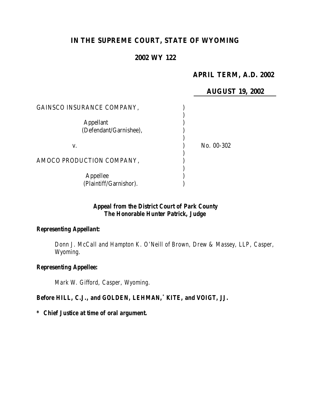# **IN THE SUPREME COURT, STATE OF WYOMING**

#### **2002 WY 122**

# **APRIL TERM, A.D. 2002**

# **AUGUST 19, 2002**

| GAINSCO INSURANCE COMPANY,                 |            |
|--------------------------------------------|------------|
| <b>Appellant</b><br>(Defendant/Garnishee), |            |
| V.                                         | No. 00-302 |
| AMOCO PRODUCTION COMPANY,                  |            |
| Appellee<br>(Plaintiff/Garnishor).         |            |

## *Appeal from the District Court of Park County The Honorable Hunter Patrick, Judge*

#### *Representing Appellant:*

*Donn J. McCall and Hampton K. O'Neill of Brown, Drew & Massey, LLP, Casper, Wyoming.*

#### *Representing Appellee:*

*Mark W. Gifford, Casper, Wyoming.*

#### *Before HILL, C.J., and GOLDEN, LEHMAN,\* KITE, and VOIGT, JJ.*

#### *\* Chief Justice at time of oral argument.*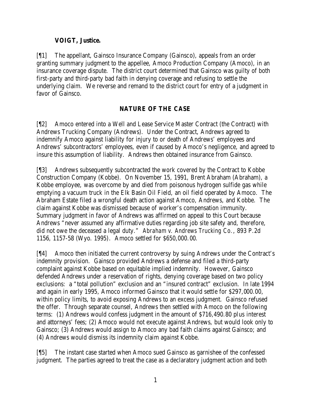# **VOIGT, Justice.**

[¶1] The appellant, Gainsco Insurance Company (Gainsco), appeals from an order granting summary judgment to the appellee, Amoco Production Company (Amoco), in an insurance coverage dispute. The district court determined that Gainsco was guilty of both first-party and third-party bad faith in denying coverage and refusing to settle the underlying claim. We reverse and remand to the district court for entry of a judgment in favor of Gainsco.

# **NATURE OF THE CASE**

[¶2] Amoco entered into a Well and Lease Service Master Contract (the Contract) with Andrews Trucking Company (Andrews). Under the Contract, Andrews agreed to indemnify Amoco against liability for injury to or death of Andrews' employees and Andrews' subcontractors' employees, even if caused by Amoco's negligence, and agreed to insure this assumption of liability. Andrews then obtained insurance from Gainsco.

[¶3] Andrews subsequently subcontracted the work covered by the Contract to Kobbe Construction Company (Kobbe). On November 15, 1991, Brent Abraham (Abraham), a Kobbe employee, was overcome by and died from poisonous hydrogen sulfide gas while emptying a vacuum truck in the Elk Basin Oil Field, an oil field operated by Amoco. The Abraham Estate filed a wrongful death action against Amoco, Andrews, and Kobbe. The claim against Kobbe was dismissed because of worker's compensation immunity. Summary judgment in favor of Andrews was affirmed on appeal to this Court because Andrews "never assumed any affirmative duties regarding job site safety and, therefore, did not owe the deceased a legal duty." *Abraham v. Andrews Trucking Co.*, 893 P.2d 1156, 1157-58 (Wyo. 1995). Amoco settled for \$650,000.00.

[¶4] Amoco then initiated the current controversy by suing Andrews under the Contract's indemnity provision. Gainsco provided Andrews a defense and filed a third-party complaint against Kobbe based on equitable implied indemnity. However, Gainsco defended Andrews under a reservation of rights, denying coverage based on two policy exclusions: a "total pollution" exclusion and an "insured contract" exclusion. In late 1994 and again in early 1995, Amoco informed Gainsco that it would settle for \$297,000.00, within policy limits, to avoid exposing Andrews to an excess judgment. Gainsco refused the offer. Through separate counsel, Andrews then settled with Amoco on the following terms: (1) Andrews would confess judgment in the amount of \$716,490.80 plus interest and attorneys' fees; (2) Amoco would not execute against Andrews, but would look only to Gainsco; (3) Andrews would assign to Amoco any bad faith claims against Gainsco; and (4) Andrews would dismiss its indemnity claim against Kobbe.

[¶5] The instant case started when Amoco sued Gainsco as garnishee of the confessed judgment. The parties agreed to treat the case as a declaratory judgment action and both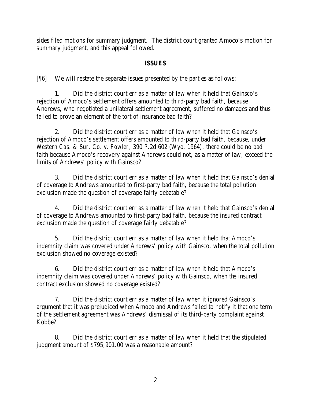sides filed motions for summary judgment. The district court granted Amoco's motion for summary judgment, and this appeal followed.

## **ISSUES**

[¶6] We will restate the separate issues presented by the parties as follows:

1. Did the district court err as a matter of law when it held that Gainsco's rejection of Amoco's settlement offers amounted to third-party bad faith, because Andrews, who negotiated a unilateral settlement agreement, suffered no damages and thus failed to prove an element of the tort of insurance bad faith?

2. Did the district court err as a matter of law when it held that Gainsco's rejection of Amoco's settlement offers amounted to third-party bad faith, because, under *Western Cas. & Sur. Co. v. Fowler*, 390 P.2d 602 (Wyo. 1964), there could be no bad faith because Amoco's recovery against Andrews could not, as a matter of law, exceed the limits of Andrews' policy with Gainsco?

3. Did the district court err as a matter of law when it held that Gainsco's denial of coverage to Andrews amounted to first-party bad faith, because the total pollution exclusion made the question of coverage fairly debatable?

4. Did the district court err as a matter of law when it held that Gainsco's denial of coverage to Andrews amounted to first-party bad faith, because the insured contract exclusion made the question of coverage fairly debatable?

5. Did the district court err as a matter of law when it held that Amoco's indemnity claim was covered under Andrews' policy with Gainsco, when the total pollution exclusion showed no coverage existed?

6. Did the district court err as a matter of law when it held that Amoco's indemnity claim was covered under Andrews' policy with Gainsco, when the insured contract exclusion showed no coverage existed?

7. Did the district court err as a matter of law when it ignored Gainsco's argument that it was prejudiced when Amoco and Andrews failed to notify it that one term of the settlement agreement was Andrews' dismissal of its third-party complaint against Kobbe?

8. Did the district court err as a matter of law when it held that the stipulated judgment amount of \$795,901.00 was a reasonable amount?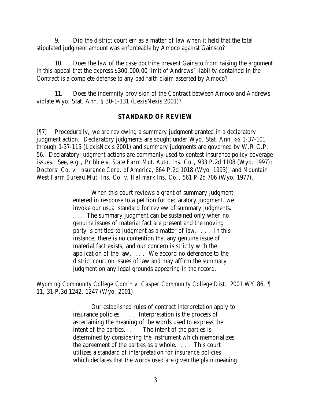9. Did the district court err as a matter of law when it held that the total stipulated judgment amount was enforceable by Amoco against Gainsco?

10. Does the law of the case doctrine prevent Gainsco from raising the argument in this appeal that the express \$300,000.00 limit of Andrews' liability contained in the Contract is a complete defense to any bad faith claim asserted by Amoco?

11. Does the indemnity provision of the Contract between Amoco and Andrews violate Wyo. Stat. Ann. § 30-1-131 (LexisNexis 2001)?

#### **STANDARD OF REVIEW**

[¶7] Procedurally, we are reviewing a summary judgment granted in a declaratory judgment action. Declaratory judgments are sought under Wyo. Stat. Ann. §§ 1-37-101 through 1-37-115 (LexisNexis 2001) and summary judgments are governed by W.R.C.P. 56. Declaratory judgment actions are commonly used to contest insurance policy coverage issues. *See, e.g.*, *Pribble v. State Farm Mut. Auto. Ins. Co.*, 933 P.2d 1108 (Wyo. 1997); *Doctors' Co. v. Insurance Corp. of America*, 864 P.2d 1018 (Wyo. 1993); and *Mountain West Farm Bureau Mut. Ins. Co. v. Hallmark Ins. Co.*, 561 P.2d 706 (Wyo. 1977).

> When this court reviews a grant of summary judgment entered in response to a petition for declaratory judgment, we invoke our usual standard for review of summary judgments. . . . The summary judgment can be sustained only when no genuine issues of material fact are present and the moving party is entitled to judgment as a matter of law. . . . In this instance, there is no contention that any genuine issue of material fact exists, and our concern is strictly with the application of the law. . . . We accord no deference to the district court on issues of law and may affirm the summary judgment on any legal grounds appearing in the record.

*Wyoming Community College Com'n v. Casper Community College Dist.*, 2001 WY 86, ¶ 11, 31 P.3d 1242, 1247 (Wyo. 2001).

> Our established rules of contract interpretation apply to insurance policies. . . . Interpretation is the process of ascertaining the meaning of the words used to express the intent of the parties. . . . The intent of the parties is determined by considering the instrument which memorializes the agreement of the parties as a whole. . . . This court utilizes a standard of interpretation for insurance policies which declares that the words used are given the plain meaning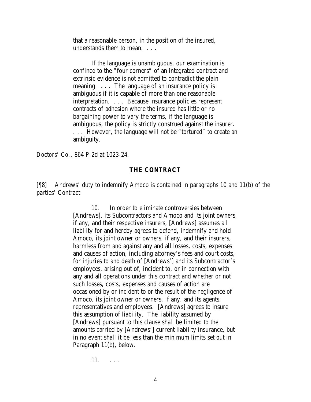that a reasonable person, in the position of the insured, understands them to mean. . . .

If the language is unambiguous, our examination is confined to the "four corners" of an integrated contract and extrinsic evidence is not admitted to contradict the plain meaning. . . . The language of an insurance policy is ambiguous if it is capable of more than one reasonable interpretation. . . . Because insurance policies represent contracts of adhesion where the insured has little or no bargaining power to vary the terms, if the language is ambiguous, the policy is strictly construed against the insurer. . . . However, the language will not be "tortured" to create an ambiguity.

*Doctors' Co.*, 864 P.2d at 1023-24.

#### **THE CONTRACT**

[¶8] Andrews' duty to indemnify Amoco is contained in paragraphs 10 and 11(b) of the parties' Contract:

> 10. In order to eliminate controversies between [Andrews], its Subcontractors and Amoco and its joint owners, if any, and their respective insurers, [Andrews] assumes all liability for and hereby agrees to defend, indemnify and hold Amoco, its joint owner or owners, if any, and their insurers, harmless from and against any and all losses, costs, expenses and causes of action, including attorney's fees and court costs, for injuries to and death of [Andrews'] and its Subcontractor's employees, arising out of, incident to, or in connection with any and all operations under this contract and whether or not such losses, costs, expenses and causes of action are occasioned by or incident to or the result of the negligence of Amoco, its joint owner or owners, if any, and its agents, representatives and employees. [Andrews] agrees to insure this assumption of liability. The liability assumed by [Andrews] pursuant to this clause shall be limited to the amounts carried by [Andrews'] current liability insurance, but in no event shall it be less than the minimum limits set out in Paragraph 11(b), below.

> > 11. . . .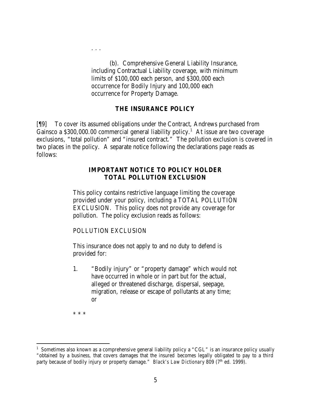(b). Comprehensive General Liability Insurance, including Contractual Liability coverage, with minimum limits of \$100,000 each person, and \$300,000 each occurrence for Bodily Injury and 100,000 each occurrence for Property Damage.

#### **THE INSURANCE POLICY**

[¶9] To cover its assumed obligations under the Contract, Andrews purchased from Gainsco a \$300,000.00 commercial general liability policy.<sup>1</sup> At issue are two coverage exclusions, "total pollution" and "insured contract." The pollution exclusion is covered in two places in the policy. A separate notice following the declarations page reads as follows:

#### **IMPORTANT NOTICE TO POLICY HOLDER TOTAL POLLUTION EXCLUSION**

This policy contains restrictive language limiting the coverage provided under your policy, including a TOTAL POLLUTION EXCLUSION. This policy does not provide any coverage for pollution. The policy exclusion reads as follows:

POLLUTION EXCLUSION

. . .

This insurance does not apply to and no duty to defend is provided for:

1. "Bodily injury" or "property damage" which would not have occurred in whole or in part but for the actual, alleged or threatened discharge, dispersal, seepage, migration, release or escape of pollutants at any time; or

\* \* \*

<sup>&</sup>lt;sup>1</sup> Sometimes also known as a comprehensive general liability policy a "CGL" is an insurance policy usually "obtained by a business, that covers damages that the insured becomes legally obligated to pay to a third party because of bodily injury or property damage." *Black's Law Dictionary* 809 (7<sup>th</sup> ed. 1999).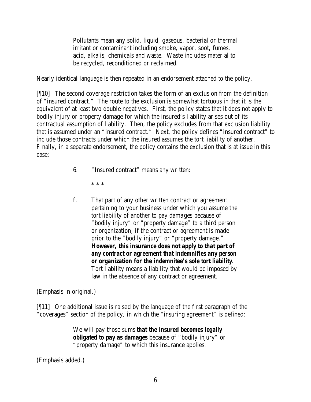Pollutants mean any solid, liquid, gaseous, bacterial or thermal irritant or contaminant including smoke, vapor, soot, fumes, acid, alkalis, chemicals and waste. Waste includes material to be recycled, reconditioned or reclaimed.

Nearly identical language is then repeated in an endorsement attached to the policy.

[¶10] The second coverage restriction takes the form of an exclusion from the definition of "insured contract." The route to the exclusion is somewhat tortuous in that it is the equivalent of at least two double negatives. First, the policy states that it does not apply to bodily injury or property damage for which the insured's liability arises out of its contractual assumption of liability. Then, the policy excludes from that exclusion liability that is assumed under an "insured contract." Next, the policy defines "insured contract" to include those contracts under which the insured assumes the tort liability of another. Finally, in a separate endorsement, the policy contains the exclusion that is at issue in this case:

- 6. "Insured contract" means any written:
	- \* \* \*
- f. That part of any other written contract or agreement pertaining to your business under which you assume the tort liability of another to pay damages because of "bodily injury" or "property damage" to a third person or organization, if the contract or agreement is made prior to the "bodily injury" or "property damage." *However, this insurance does not apply to that part of any contract or agreement that indemnifies any person or organization for the indemnitee's sole tort liability*. Tort liability means a liability that would be imposed by law in the absence of any contract or agreement.

(Emphasis in original.)

[¶11] One additional issue is raised by the language of the first paragraph of the "coverages" section of the policy, in which the "insuring agreement" is defined:

> We will pay those sums *that the insured becomes legally obligated to pay as damages* because of "bodily injury" or "property damage" to which this insurance applies.

(Emphasis added.)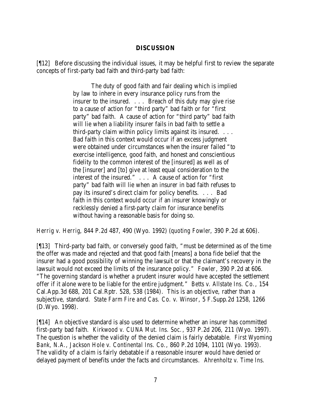#### **DISCUSSION**

[¶12] Before discussing the individual issues, it may be helpful first to review the separate concepts of first-party bad faith and third-party bad faith:

> The duty of good faith and fair dealing which is implied by law to inhere in every insurance policy runs from the insurer to the insured. . . . Breach of this duty may give rise to a cause of action for "third party" bad faith or for "first party" bad faith. A cause of action for "third party" bad faith will lie when a liability insurer fails in bad faith to settle a third-party claim within policy limits against its insured. . . . Bad faith in this context would occur if an excess judgment were obtained under circumstances when the insurer failed "to exercise intelligence, good faith, and honest and conscientious fidelity to the common interest of the [insured] as well as of the [insurer] and [to] give at least equal consideration to the interest of the insured." . . . A cause of action for "first party" bad faith will lie when an insurer in bad faith refuses to pay its insured's direct claim for policy benefits. . . . Bad faith in this context would occur if an insurer knowingly or recklessly denied a first-party claim for insurance benefits without having a reasonable basis for doing so.

*Herrig v. Herrig*, 844 P.2d 487, 490 (Wyo. 1992) (*quoting Fowler*, 390 P.2d at 606).

[¶13] Third-party bad faith, or conversely good faith, "must be determined as of the time the offer was made and rejected and that good faith [means] a bona fide belief that the insurer had a good possibility of winning the lawsuit or that the claimant's recovery in the lawsuit would not exceed the limits of the insurance policy." *Fowler*, 390 P.2d at 606. "The governing standard is whether a prudent insurer would have accepted the settlement offer if it alone were to be liable for the entire judgment." *Betts v. Allstate Ins. Co.*, 154 Cal.App.3d 688, 201 Cal.Rptr. 528, 538 (1984). This is an objective, rather than a subjective, standard. *State Farm Fire and Cas. Co. v. Winsor*, 5 F.Supp.2d 1258, 1266 (D.Wyo. 1998).

[¶14] An objective standard is also used to determine whether an insurer has committed first-party bad faith. *Kirkwood v. CUNA Mut. Ins. Soc.*, 937 P.2d 206, 211 (Wyo. 1997). The question is whether the validity of the denied claim is fairly debatable. *First Wyoming Bank, N.A., Jackson Hole v. Continental Ins. Co.*, 860 P.2d 1094, 1101 (Wyo. 1993). The validity of a claim is fairly debatable if a reasonable insurer would have denied or delayed payment of benefits under the facts and circumstances. *Ahrenholtz v. Time Ins.*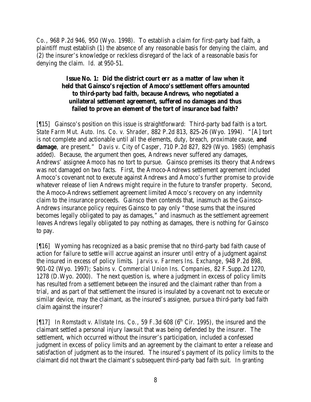*Co.*, 968 P.2d 946, 950 (Wyo. 1998). To establish a claim for first-party bad faith, a plaintiff must establish (1) the absence of any reasonable basis for denying the claim, and (2) the insurer's knowledge or reckless disregard of the lack of a reasonable basis for denying the claim. *Id.* at 950-51.

## **Issue No. 1: Did the district court err as a matter of law when it held that Gainsco's rejection of Amoco's settlement offers amounted to third-party bad faith, because Andrews, who negotiated a unilateral settlement agreement, suffered no damages and thus failed to prove an element of the tort of insurance bad faith?**

[¶15] Gainsco's position on this issue is straightforward: Third-party bad faith is a tort. *State Farm Mut. Auto. Ins. Co. v. Shrader*, 882 P.2d 813, 825-26 (Wyo. 1994). "[A] tort is not complete and actionable until all the elements, duty, breach, proximate cause, *and damage*, are present." *Davis v. City of Casper*, 710 P.2d 827, 829 (Wyo. 1985) (emphasis added). Because, the argument then goes, Andrews never suffered any damages, Andrews' assignee Amoco has no tort to pursue. Gainsco premises its theory that Andrews was not damaged on two facts. First, the Amoco-Andrews settlement agreement included Amoco's covenant not to execute against Andrews and Amoco's further promise to provide whatever release of lien Andrews might require in the future to transfer property. Second, the Amoco-Andrews settlement agreement limited Amoco's recovery on any indemnity claim to the insurance proceeds. Gainsco then contends that, inasmuch as the Ga insco-Andrews insurance policy requires Gainsco to pay only "those sums that the insured becomes legally obligated to pay as damages," and inasmuch as the settlement agreement leaves Andrews legally obligated to pay nothing as damages, there is nothing for Gainsco to pay.

[¶16] Wyoming has recognized as a basic premise that no third-party bad faith cause of action for failure to settle will accrue against an insurer until entry of a judgment against the insured in excess of policy limits. *Jarvis v. Farmers Ins. Exchange*, 948 P.2d 898, 901-02 (Wyo. 1997); *Sabins v. Commercial Union Ins. Companies*, 82 F.Supp.2d 1270, 1278 (D.Wyo. 2000). The next question is, where a judgment in excess of policy limits has resulted from a settlement between the insured and the claimant rather than from a trial, and as part of that settlement the insured is insulated by a covenant not to execute or similar device, may the claimant, as the insured's assignee, pursue a third-party bad faith claim against the insurer?

[¶17] In *Romstadt v. Allstate Ins. Co.*, 59 F.3d 608 (6<sup>th</sup> Cir. 1995), the insured and the claimant settled a personal injury lawsuit that was being defended by the insurer. The settlement, which occurred without the insurer's participation, included a confessed judgment in excess of policy limits and an agreement by the claimant to enter a release and satisfaction of judgment as to the insured. The insured's payment of its policy limits to the claimant did not thwart the claimant's subsequent third-party bad faith suit. In granting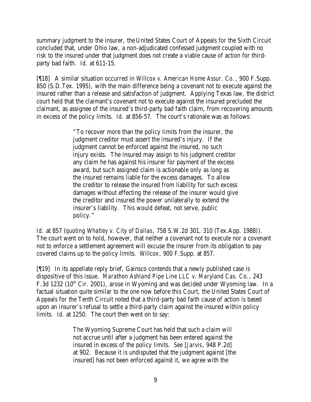summary judgment to the insurer, the United States Court of Appeals for the Sixth Circuit concluded that, under Ohio law, a non-adjudicated confessed judgment coupled with no risk to the insured under that judgment does not create a viable cause of action for thirdparty bad faith. *Id.* at 611-15.

[¶18] A similar situation occurred in *Willcox v. American Home Assur. Co.*, 900 F.Supp. 850 (S.D.Tex. 1995), with the main difference being a covenant not to execute against the insured rather than a release and satisfaction of judgment. Applying Texas law, the district court held that the claimant's covenant not to execute against the insured precluded the claimant, as assignee of the insured's third-party bad faith claim, from recovering amounts in excess of the policy limits. *Id.* at 856-57. The court's rationale was as follows:

> "To recover more than the policy limits from the insurer, the judgment creditor must assert the insured's injury. If the judgment cannot be enforced against the insured, no such injury exists. The insured may assign to his judgment creditor any claim he has against his insurer for payment of the excess award, but such assigned claim is actionable only as long as the insured remains liable for the excess damages. To allow the creditor to release the insured from liability for such excess damages without effecting the release of the insurer would give the creditor and insured the power unilaterally to extend the insurer's liability. This would defeat, not serve, public policy."

*Id.* at 857 (*quoting Whatley v. City of Dallas*, 758 S.W.2d 301, 310 (Tex.App. 1988)). The court went on to hold, however, that neither a covenant not to execute nor a covenant not to enforce a settlement agreement will excuse the insurer from its obligation to pay covered claims up to the policy limits. *Willcox*, 900 F.Supp. at 857.

[¶19] In its appellate reply brief, Gainsco contends that a newly published case is dispositive of this issue. *Marathon Ashland Pipe Line LLC v. Maryland Cas. Co.*, 243 F.3d 1232 ( $10<sup>th</sup>$  Cir. 2001), arose in Wyoming and was decided under Wyoming law. In a factual situation quite similar to the one now before this Court, the United States Court of Appeals for the Tenth Circuit noted that a third-party bad faith cause of action is based upon an insurer's refusal to settle a third-party claim against the insured within policy limits. *Id.* at 1250. The court then went on to say:

> The Wyoming Supreme Court has held that such a claim will not accrue until after a judgment has been entered against the insured in excess of the policy limits. *See [Jarvis*, 948 P.2d] at 902. Because it is undisputed that the judgment against [the insured] has not been enforced against it, we agree with the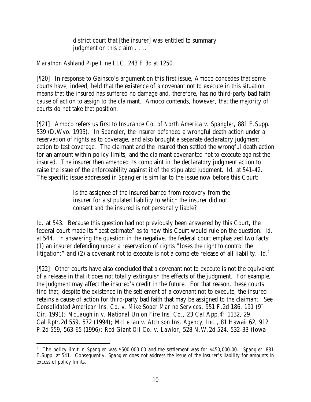district court that [the insurer] was entitled to summary judgment on this claim . . . .

## *Marathon Ashland Pipe Line LLC*, 243 F.3d at 1250.

[¶20] In response to Gainsco's argument on this first issue, Amoco concedes that some courts have, indeed, held that the existence of a covenant not to execute in this situation means that the insured has suffered no damage and, therefore, has no third-party bad faith cause of action to assign to the claimant. Amoco contends, however, that the majority of courts do not take that position.

[¶21] Amoco refers us first to *Insurance Co. of North America v. Spangler*, 881 F.Supp. 539 (D.Wyo. 1995). In *Spangler*, the insurer defended a wrongful death action under a reservation of rights as to coverage, and also brought a separate declaratory judgment action to test coverage. The claimant and the insured then settled the wrongful death action for an amount within policy limits, and the claimant covenanted not to execute against the insured. The insurer then amended its complaint in the declaratory judgment action to raise the issue of the enforceability against it of the stipulated judgment. *Id.* at 541-42. The specific issue addressed in *Spangler* is similar to the issue now before this Court:

> Is the assignee of the insured barred from recovery from the insurer for a stipulated liability to which the insurer did not consent and the insured is not personally liable?

*Id.* at 543. Because this question had not previously been answered by this Court, the federal court made its "best estimate" as to how this Court would rule on the question. *Id.* at 544. In answering the question in the negative, the federal court emphasized two facts: (1) an insurer defending under a reservation of rights "loses the right to control the litigation;" and (2) a covenant not to execute is not a complete release of all liability. *Id.<sup>2</sup>*

[¶22] Other courts have also concluded that a covenant not to execute is not the equivalent of a release in that it does not totally extinguish the effects of the judgment. For example, the judgment may affect the insured's credit in the future. For that reason, these courts find that, despite the existence in the settlement of a covenant not to execute, the insured retains a cause of action for third-party bad faith that may be assigned to the claimant. *See Consolidated American Ins. Co. v. Mike Soper Marine Services*, 951 F.2d 186, 191 (9<sup>th</sup>) Cir. 1991); *McLaughlin v. National Union Fire Ins. Co.*, 23 Cal.App.4<sup>th</sup> 1132, 29 Cal.Rptr.2d 559, 572 (1994); *McLellan v. Atchison Ins. Agency, Inc.*, 81 Hawaii 62, 912 P.2d 559, 563-65 (1996); *Red Giant Oil Co. v. Lawlor*, 528 N.W.2d 524, 532-33 (Iowa

<sup>2</sup> The policy limit in *Spangler* was \$500,000.00 and the settlement was for \$450,000.00. *Spangler*, 881 F.Supp. at 541. Consequently, *Spangler* does not address the issue of the insurer's liability for amounts in excess of policy limits.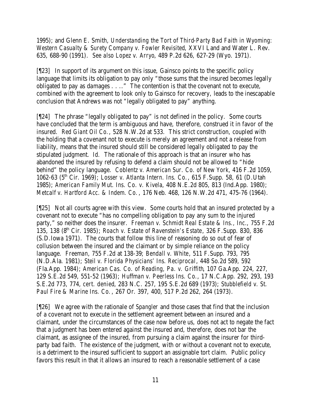1995); and Glenn E. Smith, *Understanding the Tort of Third-Party Bad Faith in Wyoming: Western Casualty & Surety Company v. Fowler Revisited*, XXVI Land and Water L. Rev. 635, 688-90 (1991). *See also Lopez v. Arryo*, 489 P.2d 626, 627-29 (Wyo. 1971).

[¶23] In support of its argument on this issue, Gainsco points to the specific policy language that limits its obligation to pay only "those sums that the insured becomes legally obligated to pay as damages . . .." The contention is that the covenant not to execute, combined with the agreement to look only to Gainsco for recovery, leads to the inescapable conclusion that Andrews was not "legally obligated to pay" anything.

[¶24] The phrase "legally obligated to pay" is not defined in the policy. Some courts have concluded that the term is ambiguous and have, therefore, construed it in favor of the insured. *Red Giant Oil Co.*, 528 N.W.2d at 533. This strict construction, coupled with the holding that a covenant not to execute is merely an agreement and not a release from liability, means that the insured should still be considered legally obligated to pay the stipulated judgment. *Id.* The rationale of this approach is that an insurer who has abandoned the insured by refusing to defend a claim should not be allowed to "hide behind" the policy language. *Coblentz v. American Sur. Co. of New York*, 416 F.2d 1059, 1062-63 (5th Cir. 1969); *Losser v. Atlanta Intern. Ins. Co.*, 615 F.Supp. 58, 61 (D.Utah 1985); *American Family Mut. Ins. Co. v. Kivela*, 408 N.E.2d 805, 813 (Ind.App. 1980); *Metcalf v. Hartford Acc. & Indem. Co.*, 176 Neb. 468, 126 N.W.2d 471, 475-76 (1964).

[¶25] Not all courts agree with this view. Some courts hold that an insured protected by a covenant not to execute "has no compelling obligation to pay any sum to the injured party," so neither does the insurer. *Freeman v. Schmidt Real Estate & Ins., Inc.*, 755 F.2d 135, 138 (8th Cir. 1985); *Roach v. Estate of Ravenstein's Estate*, 326 F.Supp. 830, 836 (S.D.Iowa 1971). The courts that follow this line of reasoning do so out of fear of collusion between the insured and the claimant or by simple reliance on the policy language. *Freeman*, 755 F.2d at 138-39; *Bendall v. White*, 511 F.Supp. 793, 795 (N.D.Ala. 1981); *Steil v. Florida Physicians' Ins. Reciprocal*, 448 So.2d 589, 592 (Fla.App. 1984); *American Cas. Co. of Reading, Pa. v. Griffith*, 107 Ga.App. 224, 227, 129 S.E.2d 549, 551-52 (1963); *Huffman v. Peerless Ins. Co.*, 17 N.C.App. 292, 293, 193 S.E.2d 773, 774, *cert. denied*, 283 N.C. 257, 195 S.E.2d 689 (1973); *Stubblefield v. St. Paul Fire & Marine Ins. Co.*, 267 Or. 397, 400, 517 P.2d 262, 264 (1973).

[¶26] We agree with the rationale of *Spangler* and those cases that find that the inclusion of a covenant not to execute in the settlement agreement between an insured and a claimant, under the circumstances of the case now before us, does not act to negate the fact that a judgment has been entered against the insured and, therefore, does not bar the claimant, as assignee of the insured, from pursuing a claim against the insurer for thirdparty bad faith. The existence of the judgment, with or without a covenant not to execute, is a detriment to the insured sufficient to support an assignable tort claim. Public policy favors this result in that it allows an insured to reach a reasonable settlement of a case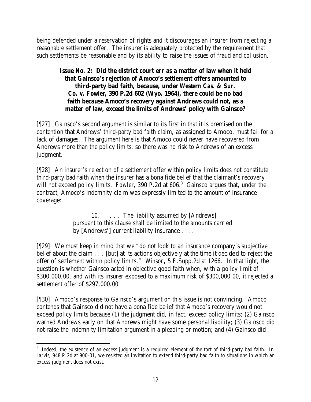being defended under a reservation of rights and it discourages an insurer from rejecting a reasonable settlement offer. The insurer is adequately protected by the requirement that such settlements be reasonable and by its ability to raise the issues of fraud and collusion.

# **Issue No. 2: Did the district court err as a matter of law when it held that Gainsco's rejection of Amoco's settlement offers amounted to third-party bad faith, because, under** *Western Cas. & Sur. Co. v. Fowler***, 390 P.2d 602 (Wyo. 1964), there could be no bad faith because Amoco's recovery against Andrews could not, as a matter of law, exceed the limits of Andrews' policy with Gainsco?**

[¶27] Gainsco's second argument is similar to its first in that it is premised on the contention that Andrews' third-party bad faith claim, as assigned to Amoco, must fail for a lack of damages. The argument here is that Amoco could never have recovered from Andrews more than the policy limits, so there was no risk to Andrews of an excess judgment.

[¶28] An insurer's rejection of a settlement offer within policy limits does not constitute third-party bad faith when the insurer has a bona fide belief that the claimant's recovery will not exceed policy limits. Fowler, 390 P.2d at 606.<sup>3</sup> Gainsco argues that, under the contract, Amoco's indemnity claim was expressly limited to the amount of insurance coverage:

> 10. . . . The liability assumed by [Andrews] pursuant to this clause shall be limited to the amounts carried by [Andrews'] current liability insurance . . ..

[¶29] We must keep in mind that we "do not look to an insurance company's subjective belief about the claim . . . [but] at its actions objectively at the time it decided to reject the offer of settlement within policy limits." *Winsor*, 5 F.Supp.2d at 1266. In that light, the question is whether Gainsco acted in objective good faith when, with a policy limit of \$300,000.00, and with its insurer exposed to a maximum risk of \$300,000.00, it rejected a settlement offer of \$297,000.00.

[¶30] Amoco's response to Gainsco's argument on this issue is not convincing. Amoco contends that Gainsco did not have a bona fide belief that Amoco's recovery would not exceed policy limits because (1) the judgment did, in fact, exceed policy limits; (2) Gainsco warned Andrews early on that Andrews might have some personal liability; (3) Gainsco did not raise the indemnity limitation argument in a pleading or motion; and (4) Gainsco did

 <sup>3</sup> Indeed, the existence of an excess judgment is a required element of the tort of third-party bad faith. In *Jarvis*, 948 P.2d at 900-01, we resisted an invitation to extend third-party bad faith to situations in which an excess judgment does not exist.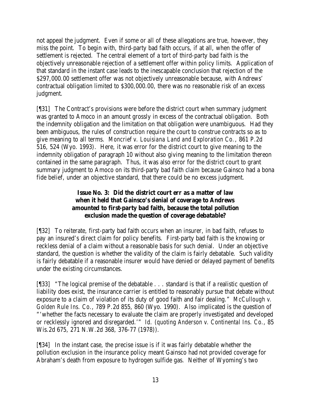not appeal the judgment. Even if some or all of these allegations are true, however, they miss the point. To begin with, third-party bad faith occurs, if at all, when the offer of settlement is rejected. The central element of a tort of third-party bad faith is the objectively unreasonable rejection of a settlement offer within policy limits. Application of that standard in the instant case leads to the inescapable conclusion that rejection of the \$297,000.00 settlement offer was not objectively unreasonable because, with Andrews' contractual obligation limited to \$300,000.00, there was no reasonable risk of an excess judgment.

[¶31] The Contract's provisions were before the district court when summary judgment was granted to Amoco in an amount grossly in excess of the contractual obligation. Both the indemnity obligation and the limitation on that obligation were unambiguous. Had they been ambiguous, the rules of construction require the court to construe contracts so as to give meaning to all terms. *Moncrief v. Louisiana Land and Exploration Co.*, 861 P.2d 516, 524 (Wyo. 1993). Here, it was error for the district court to give meaning to the indemnity obligation of paragraph 10 without also giving meaning to the limitation thereon contained in the same paragraph. Thus, it was also error for the district court to grant summary judgment to Amoco on its third-party bad faith claim because Gainsco had a bona fide belief, under an objective standard, that there could be no excess judgment.

# **Issue No. 3: Did the district court err as a matter of law when it held that Gainsco's denial of coverage to Andrews amounted to first-party bad faith, because the total pollution exclusion made the question of coverage debatable?**

[¶32] To reiterate, first-party bad faith occurs when an insurer, in bad faith, refuses to pay an insured's direct claim for policy benefits. First-party bad faith is the knowing or reckless denial of a claim without a reasonable basis for such denial. Under an objective standard, the question is whether the validity of the claim is fairly debatable. Such validity is fairly debatable if a reasonable insurer would have denied or delayed payment of benefits under the existing circumstances.

[¶33] "The logical premise of the debatable . . . standard is that if a realistic question of liability does exist, the insurance carrier is entitled to reasonably pursue that debate without exposure to a claim of violation of its duty of good faith and fair dealing." *McCullough v. Golden Rule Ins. Co.*, 789 P.2d 855, 860 (Wyo. 1990). Also implicated is the question of "'whether the facts necessary to evaluate the claim are properly investigated and developed or recklessly ignored and disregarded.'" *Id.* (*quoting Anderson v. Continental Ins. Co.*, 85 Wis.2d 675, 271 N.W.2d 368, 376-77 (1978)).

[¶34] In the instant case, the precise issue is if it was fairly debatable whether the pollution exclusion in the insurance policy meant Gainsco had not provided coverage for Abraham's death from exposure to hydrogen sulfide gas. Neither of Wyoming's two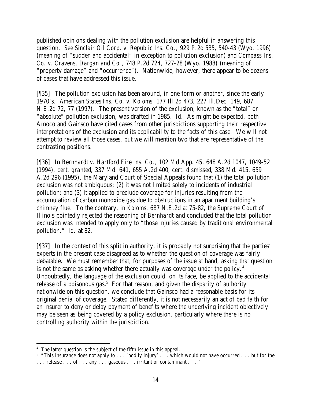published opinions dealing with the pollution exclusion are helpful in answering this question. *See Sinclair Oil Corp. v. Republic Ins. Co.*, 929 P.2d 535, 540-43 (Wyo. 1996) (meaning of "sudden and accidental" in exception to pollution exclusion) and *Compass Ins. Co. v. Cravens, Dargan and Co.*, 748 P.2d 724, 727-28 (Wyo. 1988) (meaning of "property damage" and "occurrence"). Nationwide, however, there appear to be dozens of cases that have addressed this issue.

[¶35] The pollution exclusion has been around, in one form or another, since the early 1970's. *American States Ins. Co. v. Koloms*, 177 Ill.2d 473, 227 Ill.Dec. 149, 687 N.E.2d 72, 77 (1997). The present version of the exclusion, known as the "total" or "absolute" pollution exclusion, was drafted in 1985. *Id.* As might be expected, both Amoco and Gainsco have cited cases from other jurisdictions supporting their respective interpretations of the exclusion and its applicability to the facts of this case. We will not attempt to review all those cases, but we will mention two that are representative of the contrasting positions.

[¶36] In *Bernhardt v. Hartford Fire Ins. Co.*, 102 Md.App. 45, 648 A.2d 1047, 1049-52 (1994), *cert. granted*, 337 Md. 641, 655 A.2d 400, *cert. dismissed*, 338 Md. 415, 659 A.2d 296 (1995), the Maryland Court of Special Appeals found that (1) the total pollution exclusion was not ambiguous; (2) it was not limited solely to incidents of industrial pollution; and (3) it applied to preclude coverage for injuries resulting from the accumulation of carbon monoxide gas due to obstructions in an apartment building's chimney flue. To the contrary, in *Koloms*, 687 N.E.2d at 75-82, the Supreme Court of Illinois pointedly rejected the reasoning of *Bernhardt* and concluded that the total pollution exclusion was intended to apply only to "those injuries caused by traditional environmental pollution." *Id.* at 82.

[¶37] In the context of this split in authority, it is probably not surprising that the parties' experts in the present case disagreed as to whether the question of coverage was fairly debatable. We must remember that, for purposes of the issue at hand, asking that question is not the same as asking whether there actually was coverage under the policy. $4$ Undoubtedly, the language of the exclusion could, on its face, be applied to the accidental release of a poisonous gas.<sup>5</sup> For that reason, and given the disparity of authority nationwide on this question, we conclude that Gainsco had a reasonable basis for its original denial of coverage. Stated differently, it is not necessarily an act of bad faith for an insurer to deny or delay payment of benefits where the underlying incident objectively may be seen as being covered by a policy exclusion, particularly where there is no controlling authority within the jurisdiction.

<sup>&</sup>lt;sup>4</sup> The latter question is the subject of the fifth issue in this appeal.

<sup>&</sup>lt;sup>5</sup> "This insurance does not apply to . . . 'bodily injury' . . . which would not have occurred . . . but for the . . . release . . . of . . . any . . . gaseous . . . irritant or contaminant . . .."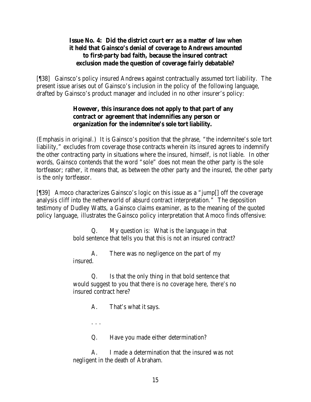#### **Issue No. 4: Did the district court err as a matter of law when it held that Gainsco's denial of coverage to Andrews amounted to first-party bad faith, because the insured contract exclusion made the question of coverage fairly debatable?**

[¶38] Gainsco's policy insured Andrews against contractually assumed tort liability. The present issue arises out of Gainsco's inclusion in the policy of the following language, drafted by Gainsco's product manager and included in no other insurer's policy:

## **However, this insurance does not apply to that part of any contract or agreement that indemnifies any person or organization for the indemnitee's sole tort liability.**

(Emphasis in original.) It is Gainsco's position that the phrase, "the indemnitee's sole tort liability," excludes from coverage those contracts wherein its insured agrees to indemnify the other contracting party in situations where the insured, himself, is not liable. In other words, Gainsco contends that the word "sole" does not mean the other party is the sole tortfeasor; rather, it means that, as between the other party and the insured, the other party is the only tortfeasor.

[¶39] Amoco characterizes Gainsco's logic on this issue as a "jump[] off the coverage analysis cliff into the netherworld of absurd contract interpretation." The deposition testimony of Dudley Watts, a Gainsco claims examiner, as to the meaning of the quoted policy language, illustrates the Gainsco policy interpretation that Amoco finds offensive:

> Q. My question is: What is the language in that bold sentence that tells you that this is not an insured contract?

A. There was no negligence on the part of my insured.

Q. Is that the only thing in that bold sentence that would suggest to you that there is no coverage here, there's no insured contract here?

A. That's what it says.

. . .

Q. Have you made either determination?

A. I made a determination that the insured was not negligent in the death of Abraham.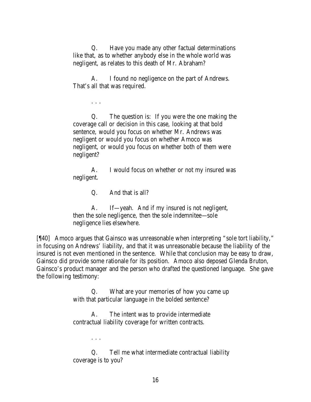Q. Have you made any other factual determinations like that, as to whether anybody else in the whole world was negligent, as relates to this death of Mr. Abraham?

A. I found no negligence on the part of Andrews. That's all that was required.

. . .

Q. The question is: If you were the one making the coverage call or decision in this case, looking at that bold sentence, would you focus on whether Mr. Andrews was negligent or would you focus on whether Amoco was negligent, or would you focus on whether both of them were negligent?

A. I would focus on whether or not my insured was negligent.

Q. And that is all?

A. If—yeah. And if my insured is not negligent, then the sole negligence, then the sole indemnitee—sole negligence lies elsewhere.

[¶40] Amoco argues that Gainsco was unreasonable when interpreting "sole tort liability," in focusing on Andrews' liability, and that it was unreasonable because the liability of the insured is not even mentioned in the sentence. While that conclusion may be easy to draw, Gainsco did provide some rationale for its position. Amoco also deposed Glenda Bruton, Gainsco's product manager and the person who drafted the questioned language. She gave the following testimony:

> Q. What are your memories of how you came up with that particular language in the bolded sentence?

A. The intent was to provide intermediate contractual liability coverage for written contracts.

. . .

Q. Tell me what intermediate contractual liability coverage is to you?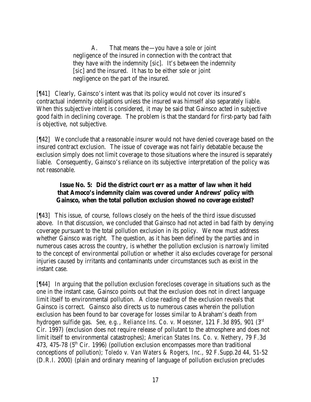A. That means the—you have a sole or joint negligence of the insured in connection with the contract that they have with the indemnity [sic]. It's between the indemnity [sic] and the insured. It has to be either sole or joint negligence on the part of the insured.

[¶41] Clearly, Gainsco's intent was that its policy would not cover its insured's contractual indemnity obligations unless the insured was himself also separately liable. When this subjective intent is considered, it may be said that Gainsco acted in subjective good faith in declining coverage. The problem is that the standard for first-party bad faith is objective, not subjective.

[¶42] We conclude that a reasonable insurer would not have denied coverage based on the insured contract exclusion. The issue of coverage was not fairly debatable because the exclusion simply does not limit coverage to those situations where the insured is separately liable. Consequently, Gainsco's reliance on its subjective interpretation of the policy was not reasonable.

# **Issue No. 5: Did the district court err as a matter of law when it held that Amoco's indemnity claim was covered under Andrews' policy with Gainsco, when the total pollution exclusion showed no coverage existed?**

[¶43] This issue, of course, follows closely on the heels of the third issue discussed above. In that discussion, we concluded that Gainsco had not acted in bad faith by denying coverage pursuant to the total pollution exclusion in its policy. We now must address whether Gainsco was right. The question, as it has been defined by the parties and in numerous cases across the country, is whether the pollution exclusion is narrowly limited to the concept of environmental pollution or whether it also excludes coverage for personal injuries caused by irritants and contaminants under circumstances such as exist in the instant case.

[¶44] In arguing that the pollution exclusion forecloses coverage in situations such as the one in the instant case, Gainsco points out that the exclusion does not in direct language limit itself to environmental pollution. A close reading of the exclusion reveals that Gainsco is correct. Gainsco also directs us to numerous cases wherein the pollution exclusion has been found to bar coverage for losses similar to Abraham's death from hydrogen sulfide gas. *See, e.g.*, *Reliance Ins. Co. v. Moessner*, 121 F.3d 895, 901 (3rd Cir. 1997) (exclusion does not require release of pollutant to the atmosphere and does not limit itself to environmental catastrophes); *American States Ins. Co. v. Nethery*, 79 F.3d 473, 475-78 ( $5<sup>th</sup>$  Cir. 1996) (pollution exclusion encompasses more than traditional conceptions of pollution); *Toledo v. Van Waters & Rogers, Inc.*, 92 F.Supp.2d 44, 51-52 (D.R.I. 2000) (plain and ordinary meaning of language of pollution exclusion precludes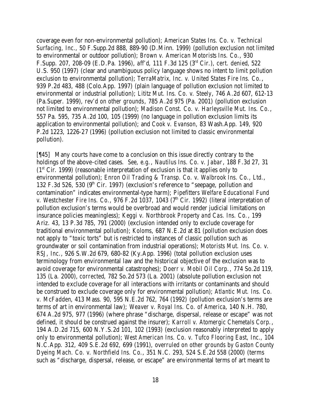coverage even for non-environmental pollution); *American States Ins. Co. v. Technical Surfacing, Inc.*, 50 F.Supp.2d 888, 889-90 (D.Minn. 1999) (pollution exclusion not limited to environmental or outdoor pollution); *Brown v. American Motorists Ins. Co.*, 930 F.Supp. 207, 208-09 (E.D.Pa. 1996), *aff'd*, 111 F.3d 125 (3rd Cir.), *cert. denied*, 522 U.S. 950 (1997) (clear and unambiguous policy language shows no intent to limit pollution exclusion to environmental pollution); *TerraMatrix, Inc. v. United States Fire Ins. Co.*, 939 P.2d 483, 488 (Colo.App. 1997) (plain language of pollution exclusion not limited to environmental or industrial pollution); *Lititz Mut. Ins. Co. v. Steely*, 746 A.2d 607, 612-13 (Pa.Super. 1999), *rev'd on other grounds*, 785 A.2d 975 (Pa. 2001) (pollution exclusion not limited to environmental pollution); *Madison Const. Co. v. Harleysville Mut. Ins. Co.*, 557 Pa. 595, 735 A.2d 100, 105 (1999) (no language in pollution exclusion limits its application to environmental pollution); and *Cook v. Evanson*, 83 Wash.App. 149, 920 P.2d 1223, 1226-27 (1996) (pollution exclusion not limited to classic environmental pollution).

[¶45] Many courts have come to a conclusion on this issue directly contrary to the holdings of the above-cited cases. *See, e.g.*, *Nautilus Ins. Co. v. Jabar*, 188 F.3d 27, 31  $(1<sup>st</sup> Cir. 1999)$  (reasonable interpretation of exclusion is that it applies only to environmental pollution); *Enron Oil Trading & Transp. Co. v. Walbrook Ins. Co., Ltd.*, 132 F.3d 526,  $\overline{530}$  (9<sup>th</sup> Cir. 1997) (exclusion's reference to "seepage, pollution and contamination" indicates environmental-type harm); *Pipefitters Welfare Educational Fund v. Westchester Fire Ins. Co.*, 976 F.2d 1037, 1043 (7<sup>th</sup> Cir. 1992) (literal interpretation of pollution exclusion's terms would be overbroad and would render judicial limitations on insurance policies meaningless); *Keggi v. Northbrook Property and Cas. Ins. Co.*, 199 Ariz. 43, 13 P.3d 785, 791 (2000) (exclusion intended only to exclude coverage for traditional environmental pollution); *Koloms*, 687 N.E.2d at 81 (pollution exclusion does not apply to "toxic torts" but is restricted to instances of classic pollution such as groundwater or soil contamination from industrial operations); *Motorists Mut. Ins. Co. v. RSJ, Inc.*, 926 S.W.2d 679, 680-82 (Ky.App. 1996) (total pollution exclusion uses terminology from environmental law and the historical objective of the exclusion was to avoid coverage for environmental catastrophes); *Doerr v. Mobil Oil Corp.*, 774 So.2d 119, 135 (La. 2000), *corrected*, 782 So.2d 573 (La. 2001) (absolute pollution exclusion not intended to exclude coverage for all interactions with irritants or contaminants and should be construed to exclude coverage only for environmental pollution); *Atlantic Mut. Ins. Co. v. McFadden*, 413 Mass. 90, 595 N.E.2d 762, 764 (1992) (pollution exclusion's terms are terms of art in environmental law); *Weaver v. Royal Ins. Co. of America*, 140 N.H. 780, 674 A.2d 975, 977 (1996) (where phrase "discharge, dispersal, release or escape" was not defined, it should be construed against the insurer); *Karroll v. Atomergic Chemetals Corp.*, 194 A.D.2d 715, 600 N.Y.S.2d 101, 102 (1993) (exclusion reasonably interpreted to apply only to environmental pollution); *West American Ins. Co. v. Tufco Flooring East, Inc.*, 104 N.C.App. 312, 409 S.E.2d 692, 699 (1991), *overruled on other grounds by Gaston County Dyeing Mach. Co. v. Northfield Ins. Co.*, 351 N.C. 293, 524 S.E.2d 558 (2000) (terms such as "discharge, dispersal, release, or escape" are environmental terms of art meant to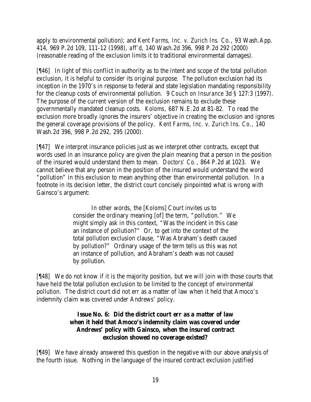apply to environmental pollution); and *Kent Farms, Inc. v. Zurich Ins. Co.*, 93 Wash.App. 414, 969 P.2d 109, 111-12 (1998), *aff'd*, 140 Wash.2d 396, 998 P.2d 292 (2000) (reasonable reading of the exclusion limits it to traditional environmental damages).

[¶46] In light of this conflict in authority as to the intent and scope of the total pollution exclusion, it is helpful to consider its original purpose. The pollution exclusion had its inception in the 1970's in response to federal and state legislation mandating responsibility for the cleanup costs of environmental pollution. 9 *Couch on Insurance* 3d § 127:3 (1997). The purpose of the current version of the exclusion remains to exclude these governmentally mandated cleanup costs. *Koloms*, 687 N.E.2d at 81-82. To read the exclusion more broadly ignores the insurers' objective in creating the exclusion and ignores the general coverage provisions of the policy. *Kent Farms, Inc. v. Zurich Ins. Co.*, 140 Wash.2d 396, 998 P.2d 292, 295 (2000).

[¶47] We interpret insurance policies just as we interpret other contracts, except that words used in an insurance policy are given the plain meaning that a person in the position of the insured would understand them to mean. *Doctors' Co.*, 864 P.2d at 1023. We cannot believe that any person in the position of the insured would understand the word "pollution" in this exclusion to mean anything other than environmental pollution. In a footnote in its decision letter, the district court concisely pinpointed what is wrong with Gainsco's argument:

> In other words, the [*Koloms*] Court invites us to consider the ordinary meaning [of] the term, "pollution." We might simply ask in this context, "Was the incident in this case an instance of pollution?" Or, to get into the context of the total pollution exclusion clause, "Was Abraham's death caused by pollution?" Ordinary usage of the term tells us this was not an instance of pollution, and Abraham's death was not caused by pollution.

[¶48] We do not know if it is the majority position, but we will join with those courts that have held the total pollution exclusion to be limited to the concept of environmental pollution. The district court did not err as a matter of law when it held that Amoco's indemnity claim was covered under Andrews' policy.

## **Issue No. 6: Did the district court err as a matter of law when it held that Amoco's indemnity claim was covered under Andrews' policy with Gainsco, when the insured contract exclusion showed no coverage existed?**

[¶49] We have already answered this question in the negative with our above analysis of the fourth issue. Nothing in the language of the insured contract exclusion justified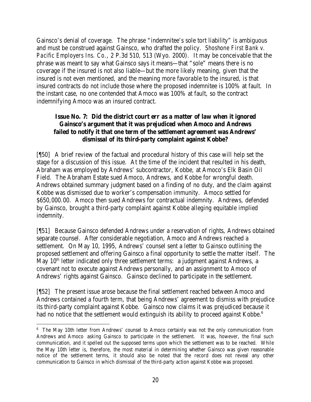Gainsco's denial of coverage. The phrase "indemnitee's sole tort liability" is ambiguous and must be construed against Gainsco, who drafted the policy. *Shoshone First Bank v. Pacific Employers Ins. Co.*, 2 P.3d 510, 513 (Wyo. 2000). It may be conceivable that the phrase was meant to say what Gainsco says it means—that "sole" means there is no coverage if the insured is not also liable—but the more likely meaning, given that the insured is not even mentioned, and the meaning more favorable to the insured, is that insured contracts do not include those where the proposed indemnitee is 100% at fault. In the instant case, no one contended that Amoco was 100% at fault, so the contract indemnifying Amoco was an insured contract.

## **Issue No. 7: Did the district court err as a matter of law when it ignored Gainsco's argument that it was prejudiced when Amoco and Andrews failed to notify it that one term of the settlement agreement was Andrews' dismissal of its third-party complaint against Kobbe?**

[¶50] A brief review of the factual and procedural history of this case will help set the stage for a discussion of this issue. At the time of the incident that resulted in his death, Abraham was employed by Andrews' subcontractor, Kobbe, at Amoco's Elk Basin Oil Field. The Abraham Estate sued Amoco, Andrews, and Kobbe for wrongful death. Andrews obtained summary judgment based on a finding of no duty, and the claim against Kobbe was dismissed due to worker's compensation immunity. Amoco settled for \$650,000.00. Amoco then sued Andrews for contractual indemnity. Andrews, defended by Gainsco, brought a third-party complaint against Kobbe alleging equitable implied indemnity.

[¶51] Because Gainsco defended Andrews under a reservation of rights, Andrews obtained separate counsel. After considerable negotiation, Amoco and Andrews reached a settlement. On May 10, 1995, Andrews' counsel sent a letter to Gainsco outlining the proposed settlement and offering Gainsco a final opportunity to settle the matter itself. The May 10<sup>th</sup> letter indicated only three settlement terms: a judgment against Andrews, a covenant not to execute against Andrews personally, and an assignment to Amoco of Andrews' rights against Gainsco. Gainsco declined to participate in the settlement.

[¶52] The present issue arose because the final settlement reached between Amoco and Andrews contained a fourth term, that being Andrews' agreement to dismiss with prejudice its third-party complaint against Kobbe. Gainsco now claims it was prejudiced because it had no notice that the settlement would extinguish its ability to proceed against Kobbe.<sup>6</sup>

<sup>&</sup>lt;sup>6</sup> The May 10th letter from Andrews' counsel to Amoco certainly was not the only communication from Andrews and Amoco asking Gainsco to participate in the settlement. It was, however, the final such communication, and it spelled out the supposed terms upon which the settlement was to be reached. While the May 10th letter is, therefore, the most material in determining whether Gainsco was given reasonable notice of the settlement terms, it should also be noted that the record does not reveal any other communication to Gainsco in which dismissal of the third-party action against Kobbe was proposed.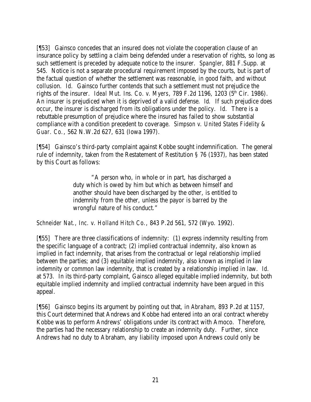[¶53] Gainsco concedes that an insured does not violate the cooperation clause of an insurance policy by settling a claim being defended under a reservation of rights, so long as such settlement is preceded by adequate notice to the insurer. *Spangler*, 881 F.Supp. at 545. Notice is not a separate procedural requirement imposed by the courts, but is part of the factual question of whether the settlement was reasonable, in good faith, and without collusion. *Id.* Gainsco further contends that such a settlement must not prejudice the rights of the insurer. *Ideal Mut. Ins. Co. v. Myers*, 789 F.2d 1196, 1203 ( $5<sup>th</sup>$  Cir. 1986). An insurer is prejudiced when it is deprived of a valid defense. *Id.* If such prejudice does occur, the insurer is discharged from its obligations under the policy. *Id.* There is a rebuttable presumption of prejudice where the insured has failed to show substantial compliance with a condition precedent to coverage. *Simpson v. United States Fidelity & Guar. Co.*, 562 N.W.2d 627, 631 (Iowa 1997).

[¶54] Gainsco's third-party complaint against Kobbe sought indemnification. The general rule of indemnity, taken from the Restatement of Restitution § 76 (1937), has been stated by this Court as follows:

> "A person who, in whole or in part, has discharged a duty which is owed by him but which as between himself and another should have been discharged by the other, is entitled to indemnity from the other, unless the payor is barred by the wrongful nature of his conduct."

*Schneider Nat., Inc. v. Holland Hitch Co.*, 843 P.2d 561, 572 (Wyo. 1992).

[¶55] There are three classifications of indemnity: (1) express indemnity resulting from the specific language of a contract; (2) implied contractual indemnity, also known as implied in fact indemnity, that arises from the contractual or legal relationship implied between the parties; and (3) equitable implied indemnity, also known as implied in law indemnity or common law indemnity, that is created by a relationship implied in law. *Id.* at 573. In its third-party complaint, Gainsco alleged equitable implied indemnity, but both equitable implied indemnity and implied contractual indemnity have been argued in this appeal.

[¶56] Gainsco begins its argument by pointing out that, in *Abraham*, 893 P.2d at 1157, this Court determined that Andrews and Kobbe had entered into an oral contract whereby Kobbe was to perform Andrews' obligations under its contract with Amoco. Therefore, the parties had the necessary relationship to create an indemnity duty. Further, since Andrews had no duty to Abraham, any liability imposed upon Andrews could only be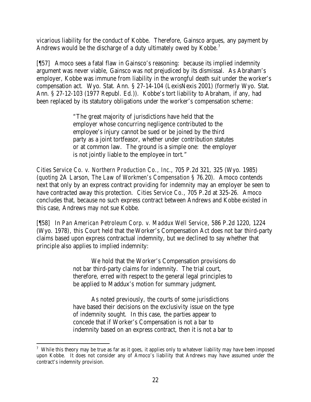vicarious liability for the conduct of Kobbe. Therefore, Gainsco argues, any payment by Andrews would be the discharge of a duty ultimately owed by Kobbe.<sup>7</sup>

[¶57] Amoco sees a fatal flaw in Gainsco's reasoning: because its implied indemnity argument was never viable, Gainsco was not prejudiced by its dismissal. As Abraham's employer, Kobbe was immune from liability in the wrongful death suit under the worker's compensation act. Wyo. Stat. Ann. § 27-14-104 (LexisNexis 2001) (formerly Wyo. Stat. Ann. § 27-12-103 (1977 Republ. Ed.)). Kobbe's tort liability to Abraham, if any, had been replaced by its statutory obligations under the worker's compensation scheme:

> "The great majority of jurisdictions have held that the employer whose concurring negligence contributed to the employee's injury cannot be sued or be joined by the third party as a joint tortfeasor, whether under contribution statutes or at common law. The ground is a simple one: the employer is not jointly liable to the employee in tort."

*Cities Service Co. v. Northern Production Co., Inc.*, 705 P.2d 321, 325 (Wyo. 1985) (*quoting* 2A Larson, *The Law of Workmen's Compensation* § 76.20). Amoco contends next that only by an express contract providing for indemnity may an employer be seen to have contracted away this protection. *Cities Service Co.*, 705 P.2d at 325-26. Amoco concludes that, because no such express contract between Andrews and Kobbe existed in this case, Andrews may not sue Kobbe.

[¶58] In *Pan American Petroleum Corp. v. Maddux Well Service*, 586 P.2d 1220, 1224 (Wyo. 1978), this Court held that the Worker's Compensation Act does not bar third-party claims based upon express contractual indemnity, but we declined to say whether that principle also applies to implied indemnity:

> We hold that the Worker's Compensation provisions do not bar third-party claims for indemnity. The trial court, therefore, erred with respect to the general legal principles to be applied to Maddux's motion for summary judgment.

As noted previously, the courts of some jurisdictions have based their decisions on the exclusivity issue on the type of indemnity sought. In this case, the parties appear to concede that if Worker's Compensation is not a bar to indemnity based on an express contract, then it is not a bar to

<sup>&</sup>lt;sup>7</sup> While this theory may be true as far as it goes, it applies only to whatever liability may have been imposed upon Kobbe. It does not consider any of Amoco's liability that Andrews may have assumed under the contract's indemnity provision.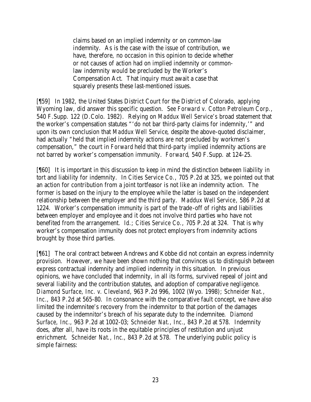claims based on an implied indemnity or on common-law indemnity. As is the case with the issue of contribution, we have, therefore, no occasion in this opinion to decide whether or not causes of action had on implied indemnity or commonlaw indemnity would be precluded by the Worker's Compensation Act. That inquiry must await a case that squarely presents these last-mentioned issues.

[¶59] In 1982, the United States District Court for the District of Colorado, applying Wyoming law, did answer this specific question. *See Forward v. Cotton Petroleum Corp.*, 540 F.Supp. 122 (D.Colo. 1982). Relying on *Maddux Well Service's* broad statement that the worker's compensation statutes "'do not bar third-party claims for indemnity,'" and upon its own conclusion that *Maddux Well Service*, despite the above-quoted disclaimer, had actually "held that implied indemnity actions are not precluded by workmen's compensation," the court in *Forward* held that third-party implied indemnity actions are not barred by worker's compensation immunity. *Forward*, 540 F.Supp. at 124-25.

[¶60] It is important in this discussion to keep in mind the distinction between liability in tort and liability for indemnity. In *Cities Service Co.*, 705 P.2d at 325, we pointed out that an action for contribution from a joint tortfeasor is not like an indemnity action. The former is based on the injury to the employee while the latter is based on the independent relationship between the employer and the third party. *Maddux Well Service*, 586 P.2d at 1224. Worker's compensation immunity is part of the trade-off of rights and liabilities between employer and employee and it does not involve third parties who have not benefited from the arrangement. *Id.*; *Cities Service Co.*, 705 P.2d at 324. That is why worker's compensation immunity does not protect employers from indemnity actions brought by those third parties.

[¶61] The oral contract between Andrews and Kobbe did not contain an express indemnity provision. However, we have been shown nothing that convinces us to distinguish between express contractual indemnity and implied indemnity in this situation. In previous opinions, we have concluded that indemnity, in all its forms, survived repeal of joint and several liability and the contribution statutes, and adoption of comparative negligence. *Diamond Surface, Inc. v. Cleveland*, 963 P.2d 996, 1002 (Wyo. 1998); *Schneider Nat.,*  Inc., 843 P.2d at 565-80. In consonance with the comparative fault concept, we have also limited the indemnitee's recovery from the indemnitor to that portion of the damages caused by the indemnitor's breach of his separate duty to the indemnitee. *Diamond Surface, Inc.*, 963 P.2d at 1002-03; *Schneider Nat., Inc.*, 843 P.2d at 578. Indemnity does, after all, have its roots in the equitable principles of restitution and unjust enrichment. *Schneider Nat., Inc.*, 843 P.2d at 578. The underlying public policy is simple fairness: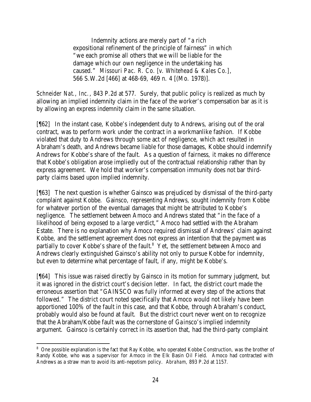Indemnity actions are merely part of "a rich expositional refinement of the principle of fairness" in which "we each promise all others that we will be liable for the damage which our own negligence in the undertaking has caused." *Missouri Pac. R. Co. [v. Whitehead & Kales Co.]*, 566 S.W.2d [466] at 468-69, 469 n. 4 [(Mo. 1978)].

*Schneider Nat., Inc.*, 843 P.2d at 577. Surely, that public policy is realized as much by allowing an implied indemnity claim in the face of the worker's compensation bar as it is by allowing an express indemnity claim in the same situation.

[¶62] In the instant case, Kobbe's independent duty to Andrews, arising out of the oral contract, was to perform work under the contract in a workmanlike fashion. If Kobbe violated that duty to Andrews through some act of negligence, which act resulted in Abraham's death, and Andrews became liable for those damages, Kobbe should indemnify Andrews for Kobbe's share of the fault. As a question of fairness, it makes no difference that Kobbe's obligation arose impliedly out of the contractual relationship rather than by express agreement. We hold that worker's compensation immunity does not bar thirdparty claims based upon implied indemnity.

[¶63] The next question is whether Gainsco was prejudiced by dismissal of the third-party complaint against Kobbe. Gainsco, representing Andrews, sought indemnity from Kobbe for whatever portion of the eventual damages that might be attributed to Kobbe's negligence. The settlement between Amoco and Andrews stated that "in the face of a likelihood of being exposed to a large verdict," Amoco had settled with the Abraham Estate. There is no explanation why Amoco required dismissal of Andrews' claim against Kobbe, and the settlement agreement does not express an intention that the payment was partially to cover Kobbe's share of the fault.<sup>8</sup> Yet, the settlement between Amoco and Andrews clearly extinguished Gainsco's ability not only to pursue Kobbe for indemnity, but even to determine what percentage of fault, if any, might be Kobbe's.

[¶64] This issue was raised directly by Gainsco in its motion for summary judgment, but it was ignored in the district court's decision letter. In fact, the district court made the erroneous assertion that "GAINSCO was fully informed at every step of the actions that followed." The district court noted specifically that Amoco would not likely have been apportioned 100% of the fault in this case, and that Kobbe, through Abraham's conduct, probably would also be found at fault. But the district court never went on to recognize that the Abraham/Kobbe fault was the cornerstone of Gainsco's implied indemnity argument. Gainsco is certainly correct in its assertion that, had the third-party complaint

<sup>&</sup>lt;sup>8</sup> One possible explanation is the fact that Ray Kobbe, who operated Kobbe Construction, was the brother of Randy Kobbe, who was a supervisor for Amoco in the Elk Basin Oil Field. Amoco had contracted with Andrews as a straw man to avoid its anti-nepotism policy. *Abraham*, 893 P.2d at 1157.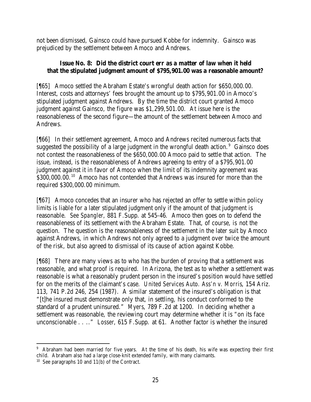not been dismissed, Gainsco could have pursued Kobbe for indemnity. Gainsco was prejudiced by the settlement between Amoco and Andrews.

# **Issue No. 8: Did the district court err as a matter of law when it held that the stipulated judgment amount of \$795,901.00 was a reasonable amount?**

[¶65] Amoco settled the Abraham Estate's wrongful death action for \$650,000.00. Interest, costs and attorneys' fees brought the amount up to \$795,901.00 in Amoco's stipulated judgment against Andrews. By the time the district court granted Amoco judgment against Gainsco, the figure was \$1,299,501.00. At issue here is the reasonableness of the second figure—the amount of the settlement between Amoco and Andrews.

[¶66] In their settlement agreement, Amoco and Andrews recited numerous facts that suggested the possibility of a large judgment in the wrongful death action. $9$  Gainsco does not contest the reasonableness of the \$650,000.00 Amoco paid to settle that action. The issue, instead, is the reasonableness of Andrews agreeing to entry of a \$795,901.00 judgment against it in favor of Amoco when the limit of its indemnity agreement was \$300,000.00.<sup>10</sup> Amoco has not contended that Andrews was insured for more than the required \$300,000.00 minimum.

[¶67] Amoco concedes that an insurer who has rejected an offer to settle within policy limits is liable for a later stipulated judgment only if the amount of that judgment is reasonable. *See Spangler*, 881 F.Supp. at 545-46. Amoco then goes on to defend the reasonableness of its settlement with the Abraham Estate. That, of course, is not the question. The question is the reasonableness of the settlement in the later suit by Amoco against Andrews, in which Andrews not only agreed to a judgment over twice the amount of the risk, but also agreed to dismissal of its cause of action against Kobbe.

[¶68] There are many views as to who has the burden of proving that a settlement was reasonable, and what proof is required. In Arizona, the test as to whether a settlement was reasonable is what a reasonably prudent person in the insured's position would have settled for on the merits of the claimant's case. *United Services Auto. Ass'n v. Morris*, 154 Ariz. 113, 741 P.2d 246, 254 (1987). A similar statement of the insured's obligation is that "[t]he insured must demonstrate only that, in settling, his conduct conformed to the standard of a prudent uninsured." *Myers*, 789 F.2d at 1200. In deciding whether a settlement was reasonable, the reviewing court may determine whether it is "on its face unconscionable . . .." *Losser*, 615 F.Supp. at 61. Another factor is whether the insured

 <sup>9</sup> Abraham had been married for five years. At the time of his death, his wife was expecting their first child. Abraham also had a large close-knit extended family, with many claimants.

<sup>10</sup> See paragraphs 10 and 11(b) of the Contract.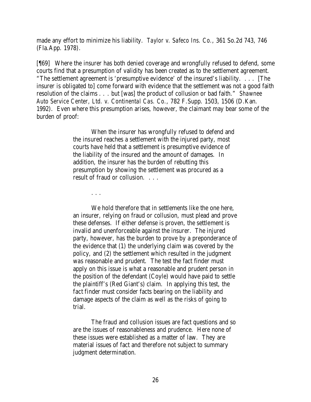made any effort to minimize his liability. *Taylor v. Safeco Ins. Co.*, 361 So.2d 743, 746 (Fla.App. 1978).

[¶69] Where the insurer has both denied coverage and wrongfully refused to defend, some courts find that a presumption of validity has been created as to the settlement agreement. "The settlement agreement is 'presumptive evidence' of the insured's liability. . . . [The insurer is obligated to] come forward with evidence that the settlement was not a good faith resolution of the claims . . . but [was] the product of collusion or bad faith." *Shawnee Auto Service Center, Ltd. v. Continental Cas. Co.*, 782 F.Supp. 1503, 1506 (D.Kan. 1992). Even where this presumption arises, however, the claimant may bear some of the burden of proof:

> When the insurer has wrongfully refused to defend and the insured reaches a settlement with the injured party, most courts have held that a settlement is presumptive evidence of the liability of the insured and the amount of damages. In addition, the insurer has the burden of rebutting this presumption by showing the settlement was procured as a result of fraud or collusion. . . .

> > . . .

We hold therefore that in settlements like the one here, an insurer, relying on fraud or collusion, must plead and prove these defenses. If either defense is proven, the settlement is invalid and unenforceable against the insurer. The injured party, however, has the burden to prove by a preponderance of the evidence that (1) the underlying claim was covered by the policy, and (2) the settlement which resulted in the judgment was reasonable and prudent. The test the fact finder must apply on this issue is what a reasonable and prudent person in the position of the defendant (Coyle) would have paid to settle the plaintiff's (Red Giant's) claim. In applying this test, the fact finder must consider facts bearing on the liability and damage aspects of the claim as well as the risks of going to trial.

The fraud and collusion issues are fact questions and so are the issues of reasonableness and prudence. Here none of these issues were established as a matter of law. They are material issues of fact and therefore not subject to summary judgment determination.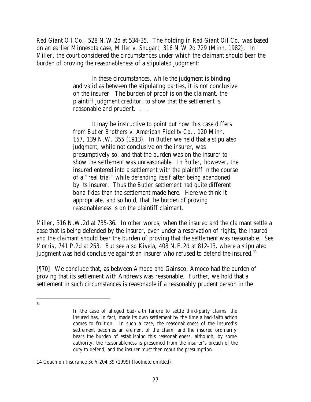*Red Giant Oil Co.*, 528 N.W.2d at 534-35. The holding in *Red Giant Oil Co.* was based on an earlier Minnesota case, *Miller v. Shugart*, 316 N.W.2d 729 (Minn. 1982). In *Miller*, the court considered the circumstances under which the claimant should bear the burden of proving the reasonableness of a stipulated judgment:

> In these circumstances, while the judgment is binding and valid as between the stipulating parties, it is not conclusive on the insurer. The burden of proof is on the claimant, the plaintiff judgment creditor, to show that the settlement is reasonable and prudent. . . .

> It may be instructive to point out how this case differs from *Butler Brothers v. American Fidelity Co.*, 120 Minn. 157, 139 N.W. 355 (1913). In *Butler* we held that a stipulated judgment, while not conclusive on the insurer, was presumptively so, and that the burden was on the insurer to show the settlement was unreasonable. In *Butler*, however, the insured entered into a settlement with the plaintiff in the course of a "real trial" while defending itself after being abandoned by its insurer. Thus the *Butler* settlement had quite different *bona fides* than the settlement made here. Here we think it appropriate, and so hold, that the burden of proving reasonableness is on the plaintiff claimant.

*Miller*, 316 N.W.2d at 735-36. In other words, when the insured and the claimant settle a case that is being defended by the insurer, even under a reservation of rights, the insured and the claimant should bear the burden of proving that the settlement was reasonable. *See Morris*, 741 P.2d at 253. *But see also Kivela*, 408 N.E.2d at 812-13, where a stipulated judgment was held conclusive against an insurer who refused to defend the insured.<sup>11</sup>

[¶70] We conclude that, as between Amoco and Gainsco, Amoco had the burden of proving that its settlement with Andrews was reasonable. Further, we hold that a settlement in such circumstances is reasonable if a reasonably prudent person in the

 11

In the case of alleged bad-faith failure to settle third-party claims, the insured has, in fact, made its own settlement by the time a bad-faith action comes to fruition. In such a case, the reasonableness of the insured's settlement becomes an element of the claim, and the insured ordinarily bears the burden of establishing this reasonableness, although, by some authority, the reasonableness is presumed from the insurer's breach of the duty to defend, and the insurer must then rebut the presumption.

<sup>14</sup> *Couch on Insurance 3d* § 204:39 (1999) (footnote omitted).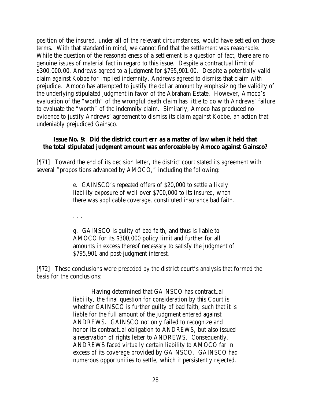position of the insured, under all of the relevant circumstances, would have settled on those terms. With that standard in mind, we cannot find that the settlement was reasonable. While the question of the reasonableness of a settlement is a question of fact, there are no genuine issues of material fact in regard to this issue. Despite a contractual limit of \$300,000.00, Andrews agreed to a judgment for \$795,901.00. Despite a potentially valid claim against Kobbe for implied indemnity, Andrews agreed to dismiss that claim with prejudice. Amoco has attempted to justify the dollar amount by emphasizing the validity of the underlying stipulated judgment in favor of the Abraham Estate. However, Amoco's evaluation of the "worth" of the wrongful death claim has little to do with Andrews' failure to evaluate the "worth" of the indemnity claim. Similarly, Amoco has produced no evidence to justify Andrews' agreement to dismiss its claim against Kobbe, an action that undeniably prejudiced Gainsco.

#### **Issue No. 9: Did the district court err as a matter of law when it held that the total stipulated judgment amount was enforceable by Amoco against Gainsco?**

[¶71] Toward the end of its decision letter, the district court stated its agreement with several "propositions advanced by AMOCO," including the following:

> e. GAINSCO's repeated offers of \$20,000 to settle a likely liability exposure of well over \$700,000 to its insured, when there was applicable coverage, constituted insurance bad faith.

. . .

g. GAINSCO is guilty of bad faith, and thus is liable to AMOCO for its \$300,000 policy limit and further for all amounts in excess thereof necessary to satisfy the judgment of \$795,901 and post-judgment interest.

[¶72] These conclusions were preceded by the district court's analysis that formed the basis for the conclusions:

> Having determined that GAINSCO has contractual liability, the final question for consideration by this Court is whether GAINSCO is further guilty of bad faith, such that it is liable for the full amount of the judgment entered against ANDREWS. GAINSCO not only failed to recognize and honor its contractual obligation to ANDREWS, but also issued a reservation of rights letter to ANDREWS. Consequently, ANDREWS faced virtually certain liability to AMOCO far in excess of its coverage provided by GAINSCO. GAINSCO had numerous opportunities to settle, which it persistently rejected.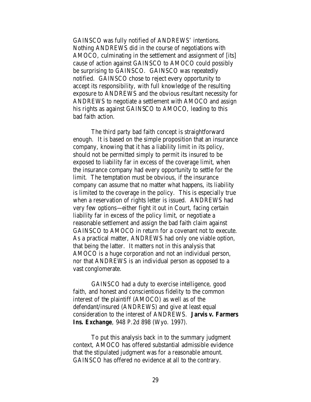GAINSCO was fully notified of ANDREWS' intentions. Nothing ANDREWS did in the course of negotiations with AMOCO, culminating in the settlement and assignment of [its] cause of action against GAINSCO to AMOCO could possibly be surprising to GAINSCO. GAINSCO was repeatedly notified. GAINSCO chose to reject every opportunity to accept its responsibility, with full knowledge of the resulting exposure to ANDREWS and the obvious resultant necessity for ANDREWS to negotiate a settlement with AMOCO and assign his rights as against GAINSCO to AMOCO, leading to this bad faith action.

The third party bad faith concept is straightforward enough. It is based on the simple proposition that an insurance company, knowing that it has a liability limit in its policy, should not be permitted simply to permit its insured to be exposed to liability far in excess of the coverage limit, when the insurance company had every opportunity to settle for the limit. The temptation must be obvious, if the insurance company can assume that no matter what happens, its liability is limited to the coverage in the policy. This is especially true when a reservation of rights letter is issued. ANDREWS had very few options—either fight it out in Court, facing certain liability far in excess of the policy limit, or negotiate a reasonable settlement and assign the bad faith claim against GAINSCO to AMOCO in return for a covenant not to execute. As a practical matter, ANDREWS had only one viable option, that being the latter. It matters not in this analysis that AMOCO is a huge corporation and not an individual person, nor that ANDREWS is an individual person as opposed to a vast conglomerate.

GAINSCO had a duty to exercise intelligence, good faith, and honest and conscientious fidelity to the common interest of the plaintiff (AMOCO) as well as of the defendant/insured (ANDREWS) and give at least equal consideration to the interest of ANDREWS. *Jarvis v. Farmers Ins. Exchange*, 948 P.2d 898 (Wyo. 1997).

To put this analysis back in to the summary judgment context, AMOCO has offered substantial admissible evidence that the stipulated judgment was for a reasonable amount. GAINSCO has offered no evidence at all to the contrary.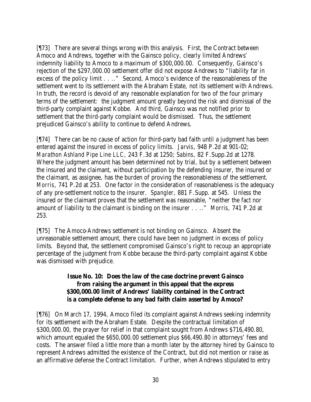[¶73] There are several things wrong with this analysis. First, the Contract between Amoco and Andrews, together with the Gainsco policy, clearly limited Andrews' indemnity liability to Amoco to a maximum of \$300,000.00. Consequently, Gainsco's rejection of the \$297,000.00 settlement offer did not expose Andrews to "liability far in excess of the policy limit . . .." Second, Amoco's evidence of the reasonableness of the settlement went to its settlement with the Abraham Estate, not its settlement with Andrews. In truth, the record is devoid of any reasonable explanation for two of the four primary terms of the settlement: the judgment amount greatly beyond the risk and dismissal of the third-party complaint against Kobbe. And third, Gainsco was not notified prior to settlement that the third-party complaint would be dismissed. Thus, the settlement prejudiced Gainsco's ability to continue to defend Andrews.

[¶74] There can be no cause of action for third-party bad faith until a judgment has been entered against the insured in excess of policy limits. *Jarvis*, 948 P.2d at 901-02; *Marathon Ashland Pipe Line LLC*, 243 F.3d at 1250; *Sabins*, 82 F.Supp.2d at 1278. Where the judgment amount has been determined not by trial, but by a settlement between the insured and the claimant, without participation by the defending insurer, the insured or the claimant, as assignee, has the burden of proving the reasonableness of the settlement. *Morris*, 741 P.2d at 253. One factor in the consideration of reasonableness is the adequacy of any pre-settlement notice to the insurer. *Spangler*, 881 F.Supp. at 545. Unless the insured or the claimant proves that the settlement was reasonable, "neither the fact nor amount of liability to the claimant is binding on the insurer . . .." *Morris*, 741 P.2d at 253.

[¶75] The Amoco-Andrews settlement is not binding on Gainsco. Absent the unreasonable settlement amount, there could have been no judgment in excess of policy limits. Beyond that, the settlement compromised Gainsco's right to recoup an appropriate percentage of the judgment from Kobbe because the third-party complaint against Kobbe was dismissed with prejudice.

#### **Issue No. 10: Does the law of the case doctrine prevent Gainsco from raising the argument in this appeal that the express \$300,000.00 limit of Andrews' liability contained in the Contract is a complete defense to any bad faith claim asserted by Amoco?**

[¶76] On March 17, 1994, Amoco filed its complaint against Andrews seeking indemnity for its settlement with the Abraham Estate. Despite the contractual limitation of \$300,000.00, the prayer for relief in that complaint sought from Andrews \$716,490.80, which amount equaled the \$650,000.00 settlement plus \$66,490.80 in attorneys' fees and costs. The answer filed a little more than a month later by the attorney hired by Gainsco to represent Andrews admitted the existence of the Contract, but did not mention or raise as an affirmative defense the Contract limitation. Further, when Andrews stipulated to entry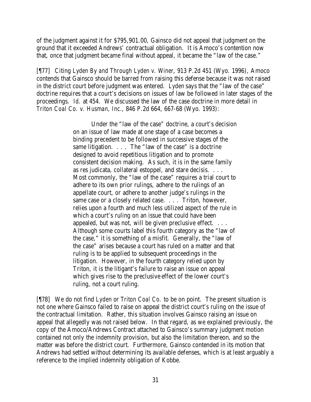of the judgment against it for \$795,901.00, Gainsco did not appeal that judgment on the ground that it exceeded Andrews' contractual obligation. It is Amoco's contention now that, once that judgment became final without appeal, it became the "law of the case."

[¶77] Citing *Lyden By and Through Lyden v. Winer*, 913 P.2d 451 (Wyo. 1996), Amoco contends that Gainsco should be barred from raising this defense because it was not raised in the district court before judgment was entered. *Lyden* says that the "law of the case" doctrine requires that a court's decisions on issues of law be followed in later stages of the proceedings. *Id.* at 454. We discussed the law of the case doctrine in more detail in *Triton Coal Co. v. Husman, Inc.*, 846 P.2d 664, 667-68 (Wyo. 1993):

> Under the "law of the case" doctrine, a court's decision on an issue of law made at one stage of a case becomes a binding precedent to be followed in successive stages of the same litigation. . . . The "law of the case" is a doctrine designed to avoid repetitious litigation and to promote consistent decision making. As such, it is in the same family as res judicata, collateral estoppel, and stare decisis. . . . Most commonly, the "law of the case" requires a trial court to adhere to its own prior rulings, adhere to the rulings of an appellate court, or adhere to another judge's rulings in the same case or a closely related case. . . . Triton, however, relies upon a fourth and much less utilized aspect of the rule in which a court's ruling on an issue that could have been appealed, but was not, will be given preclusive effect. . . . Although some courts label this fourth category as the "law of the case," it is something of a misfit. Generally, the "law of the case" arises because a court has ruled on a matter and that ruling is to be applied to subsequent proceedings in the litigation. However, in the fourth category relied upon by Triton, it is the litigant's failure to raise an issue on appeal which gives rise to the preclusive effect of the lower court's ruling, not a court ruling.

[¶78] We do not find *Lyden* or *Triton Coal Co.* to be on point. The present situation is not one where Gainsco failed to raise on appeal the district court's ruling on the issue of the contractual limitation. Rather, this situation involves Gainsco raising an issue on appeal that allegedly was not raised below. In that regard, as we explained previously, the copy of the Amoco/Andrews Contract attached to Gainsco's summary judgment motion contained not only the indemnity provision, but also the limitation thereon, and so the matter was before the district court. Furthermore, Gainsco contended in its motion that Andrews had settled without determining its available defenses, which is at least arguably a reference to the implied indemnity obligation of Kobbe.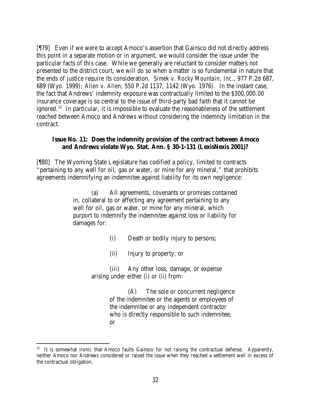[¶79] Even if we were to accept Amoco's assertion that Gainsco did not directly address this point in a separate motion or in argument, we would consider the issue under the particular facts of this case. While we generally are reluctant to consider matters not presented to the district court, we will do so when a matter is so fundamental in nature that the ends of justice require its consideration. *Simek v. Rocky Mountain, Inc.*, 977 P.2d 687, 689 (Wyo. 1999); *Allen v. Allen*, 550 P.2d 1137, 1142 (Wyo. 1976). In the instant case, the fact that Andrews' indemnity exposure was contractually limited to the \$300,000.00 insurance coverage is so central to the issue of third-party bad faith that it cannot be ignored.<sup>12</sup> In particular, it is impossible to evaluate the reasonableness of the settlement reached between Amoco and Andrews without considering the indemnity limitation in the contract.

#### **Issue No. 11: Does the indemnity provision of the contract between Amoco and Andrews violate Wyo. Stat. Ann. § 30-1-131 (LexisNexis 2001)?**

[¶80] The Wyoming State Legislature has codified a policy, limited to contracts "pertaining to any well for oil, gas or water, or mine for any mineral," that prohibits agreements indemnifying an indemnitee against liability for its own negligence:

> (a) All agreements, covenants or promises contained in, collateral to or affecting any agreement pertaining to any well for oil, gas or water, or mine for any mineral, which purport to indemnify the indemnitee against loss or liability for damages for:

- (i) Death or bodily injury to persons;
- (ii) Injury to property; or

(iii) Any other loss, damage, or expense arising under either (i) or (ii) from:

> (A) The sole or concurrent negligence of the indemnitee or the agents or employees of the indemnitee or any independent contractor who is directly responsible to such indemnitee; or

 $12$  It is somewhat ironic that Amoco faults Gainsco for not raising the contractual defense. Apparently, neither Amoco nor Andrews considered or raised the issue when they reached a settlement well in excess of the contractual obligation.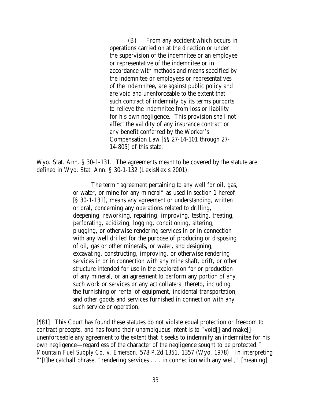(B) From any accident which occurs in operations carried on at the direction or under the supervision of the indemnitee or an employee or representative of the indemnitee or in accordance with methods and means specified by the indemnitee or employees or representatives of the indemnitee, are against public policy and are void and unenforceable to the extent that such contract of indemnity by its terms purports to relieve the indemnitee from loss or liability for his own negligence. This provision shall not affect the validity of any insurance contract or any benefit conferred by the Worker's Compensation Law [§§ 27-14-101 through 27- 14-805] of this state.

Wyo. Stat. Ann. § 30-1-131. The agreements meant to be covered by the statute are defined in Wyo. Stat. Ann. § 30-1-132 (LexisNexis 2001):

> The term "agreement pertaining to any well for oil, gas, or water, or mine for any mineral" as used in section 1 hereof [§ 30-1-131], means any agreement or understanding, written or oral, concerning any operations related to drilling, deepening, reworking, repairing, improving, testing, treating, perforating, acidizing, logging, conditioning, altering, plugging, or otherwise rendering services in or in connection with any well drilled for the purpose of producing or disposing of oil, gas or other minerals, or water, and designing, excavating, constructing, improving, or otherwise rendering services in or in connection with any mine shaft, drift, or other structure intended for use in the exploration for or production of any mineral, or an agreement to perform any portion of any such work or services or any act collateral thereto, including the furnishing or rental of equipment, incidental transportation, and other goods and services furnished in connection with any such service or operation.

[¶81] This Court has found these statutes do not violate equal protection or freedom to contract precepts, and has found their unambiguous intent is to "void[] and make[] unenforceable any agreement to the extent that it seeks to indemnify an indemnitee for his own negligence—regardless of the character of the negligence sought to be protected." *Mountain Fuel Supply Co. v. Emerson*, 578 P.2d 1351, 1357 (Wyo. 1978). In interpreting "'[t]he catchall phrase, "rendering services . . . in connection with any well," [meaning]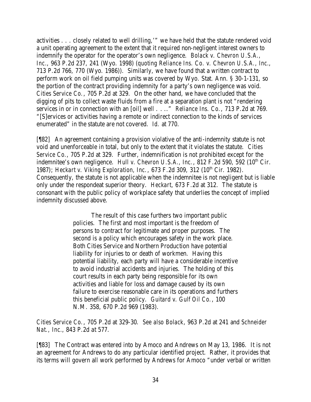activities . . . closely related to well drilling,'" we have held that the statute rendered void a unit operating agreement to the extent that it required non-negligent interest owners to indemnify the operator for the operator's own negligence. *Bolack v. Chevron U.S.A., Inc.*, 963 P.2d 237, 241 (Wyo. 1998) (*quoting Reliance Ins. Co. v. Chevron U.S.A., Inc.*, 713 P.2d 766, 770 (Wyo. 1986)). Similarly, we have found that a written contract to perform work on oil field pumping units was covered by Wyo. Stat. Ann. § 30-1-131, so the portion of the contract providing indemnity for a party's own negligence was void. *Cities Service Co.*, 705 P.2d at 329. On the other hand, we have concluded that the digging of pits to collect waste fluids from a fire at a separation plant is not "rendering services in or in connection with an [oil] well . . .." *Reliance Ins. Co.*, 713 P.2d at 769. "[S]ervices or activities having a remote or indirect connection to the kinds of services enumerated" in the statute are not covered. *Id.* at 770.

[¶82] An agreement containing a provision violative of the anti-indemnity statute is not void and unenforceable in total, but only to the extent that it violates the statute. *Cities Service Co.*, 705 P.2d at 329. Further, indemnification is not prohibited except for the indemnitee's own negligence. *Hull v. Chevron U.S.A.*, *Inc.*, 812 F.2d 590, 592  $(10<sup>th</sup>$  Cir. 1987); *Heckart v. Viking Exploration, Inc.*, 673 F.2d 309, 312 (10<sup>th</sup> Cir. 1982). Consequently, the statute is not applicable when the indemnitee is not negligent but is liable only under the respondeat superior theory. *Heckart*, 673 F.2d at 312. The statute is consonant with the public policy of workplace safety that underlies the concept of implied indemnity discussed above.

> The result of this case furthers two important public policies. The first and most important is the freedom of persons to contract for legitimate and proper purposes. The second is a policy which encourages safety in the work place. Both Cities Service and Northern Production have potential liability for injuries to or death of workmen. Having this potential liability, each party will have a considerable incentive to avoid industrial accidents and injuries. The holding of this court results in each party being responsible for its own activities and liable for loss and damage caused by its own failure to exercise reasonable care in its operations and furthers this beneficial public policy. *Guitard v. Gulf Oil Co.*, 100 N.M. 358, 670 P.2d 969 (1983).

*Cities Service Co.*, 705 P.2d at 329-30. *See also Bolack*, 963 P.2d at 241 and *Schneider Nat., Inc.*, 843 P.2d at 577.

[¶83] The Contract was entered into by Amoco and Andrews on May 13, 1986. It is not an agreement for Andrews to do any particular identified project. Rather, it provides that its terms will govern all work performed by Andrews for Amoco "under verbal or written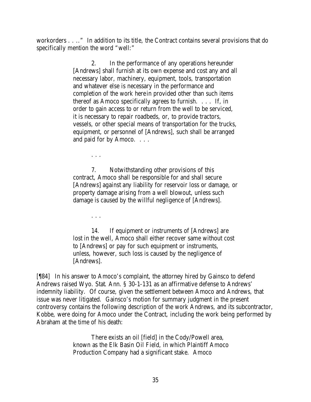workorders . . .." In addition to its title, the Contract contains several provisions that do specifically mention the word "well:"

> 2. In the performance of any operations hereunder [Andrews] shall furnish at its own expense and cost any and all necessary labor, machinery, equipment, tools, transportation and whatever else is necessary in the performance and completion of the work herein provided other than such items thereof as Amoco specifically agrees to furnish. . . . If, in order to gain access to or return from the well to be serviced, it is necessary to repair roadbeds, or, to provide tractors, vessels, or other special means of transportation for the trucks, equipment, or personnel of [Andrews], such shall be arranged and paid for by Amoco. . . .

> 7. Notwithstanding other provisions of this contract, Amoco shall be responsible for and shall secure [Andrews] against any liability for reservoir loss or damage, or property damage arising from a well blowout, unless such damage is caused by the willful negligence of [Andrews].

. . .

. . .

14. If equipment or instruments of [Andrews] are lost in the well, Amoco shall either recover same without cost to [Andrews] or pay for such equipment or instruments, unless, however, such loss is caused by the negligence of [Andrews].

[¶84] In his answer to Amoco's complaint, the attorney hired by Gainsco to defend Andrews raised Wyo. Stat. Ann. § 30-1-131 as an affirmative defense to Andrews' indemnity liability. Of course, given the settlement between Amoco and Andrews, that issue was never litigated. Gainsco's motion for summary judgment in the present controversy contains the following description of the work Andrews, and its subcontractor, Kobbe, were doing for Amoco under the Contract, including the work being performed by Abraham at the time of his death:

> There exists an oil [field] in the Cody/Powell area, known as the Elk Basin Oil Field, in which Plaintiff Amoco Production Company had a significant stake. Amoco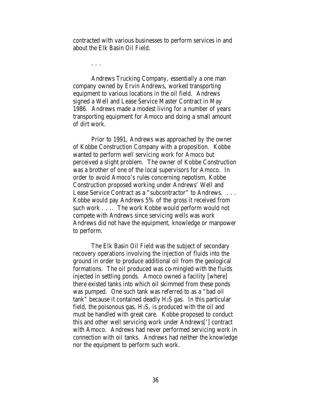contracted with various businesses to perform services in and about the Elk Basin Oil Field.

. . .

Andrews Trucking Company, essentially a one man company owned by Ervin Andrews, worked transporting equipment to various locations in the oil field. Andrews signed a Well and Lease Service Master Contract in May 1986. Andrews made a modest living for a number of years transporting equipment for Amoco and doing a small amount of dirt work.

Prior to 1991, Andrews was approached by the owner of Kobbe Construction Company with a proposition. Kobbe wanted to perform well servicing work for Amoco but perceived a slight problem. The owner of Kobbe Construction was a brother of one of the local supervisors for Amoco. In order to avoid Amoco's rules concerning nepotism, Kobbe Construction proposed working under Andrews' Well and Lease Service Contract as a "subcontractor" to Andrews. . . . Kobbe would pay Andrews 5% of the gross it received from such work . . .. The work Kobbe would perform would not compete with Andrews since servicing wells was work Andrews did not have the equipment, knowledge or manpower to perform.

The Elk Basin Oil Field was the subject of secondary recovery operations involving the injection of fluids into the ground in order to produce additional oil from the geological formations. The oil produced was co-mingled with the fluids injected in settling ponds. Amoco owned a facility [where] there existed tanks into which oil skimmed from these ponds was pumped. One such tank was referred to as a "bad oil tank" because it contained deadly H2S gas. In this particular field, the poisonous gas,  $H_2S$ , is produced with the oil and must be handled with great care. Kobbe proposed to conduct this and other well servicing work under Andrews['] contract with Amoco. Andrews had never performed servicing work in connection with oil tanks. Andrews had neither the knowledge nor the equipment to perform such work.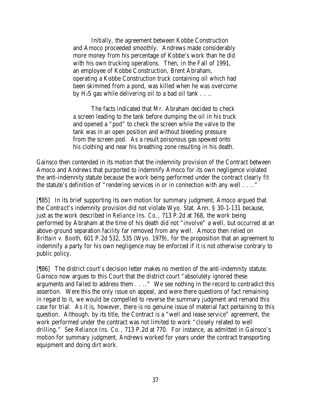Initially, the agreement between Kobbe Construction and Amoco proceeded smoothly. Andrews made considerably more money from his percentage of Kobbe's work than he did with his own trucking operations. Then, in the Fall of 1991, an employee of Kobbe Construction, Brent Abraham, operating a Kobbe Construction truck containing oil which had been skimmed from a pond, was killed when he was overcome by  $H_2S$  gas while delivering oil to a bad oil tank . . . .

The facts indicated that Mr. Abraham decided to check a screen leading to the tank before dumping the oil in his truck and opened a "pod" to check the screen while the valve to the tank was in an open position and without bleeding pressure from the screen pod. As a result poisonous gas spewed onto his clothing and near his breathing zone resulting in his death.

Gainsco then contended in its motion that the indemnity provision of the Contract between Amoco and Andrews that purported to indemnify Amoco for its own negligence violated the anti-indemnity statute because the work being performed under the contract clearly fit the statute's definition of "rendering services in or in connection with any well . . .."

[¶85] In its brief supporting its own motion for summary judgment, Amoco argued that the Contract's indemnity provision did not violate Wyo. Stat. Ann. § 30-1-131 because, just as the work described in *Reliance Ins. Co.*, 713 P.2d at 768, the work being performed by Abraham at the time of his death did not "involve" a well, but occurred at an above-ground separation facility far removed from any well. Amoco then relied on *Brittain v. Booth*, 601 P.2d 532, 535 (Wyo. 1979), for the proposition that an agreement to indemnify a party for his own negligence may be enforced if it is not otherwise contrary to public policy.

[¶86] The district court's decision letter makes no mention of the anti-indemnity statute. Gainsco now argues to this Court that the district court "absolutely ignored these arguments and failed to address them . . .." We see nothing in the record to contradict this assertion. Were this the only issue on appeal, and were there questions of fact remaining in regard to it, we would be compelled to reverse the summary judgment and remand this case for trial. As it is, however, there is no genuine issue of material fact pertaining to this question. Although, by its title, the Contract is a "well and lease service" agreement, the work performed under the contract was not limited to work "closely related to well drilling." *See Reliance Ins. Co.*, 713 P.2d at 770. For instance, as admitted in Gainsco's motion for summary judgment, Andrews worked for years under the contract transporting equipment and doing dirt work.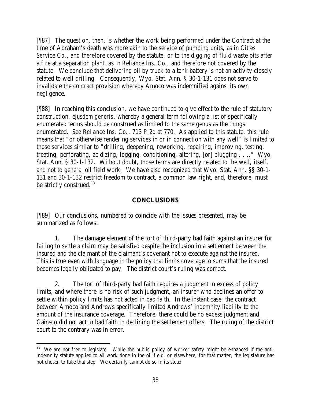[¶87] The question, then, is whether the work being performed under the Contract at the time of Abraham's death was more akin to the service of pumping units, as in *Cities Service Co.*, and therefore covered by the statute, or to the digging of fluid waste pits after a fire at a separation plant, as in *Reliance Ins. Co.*, and therefore not covered by the statute. We conclude that delivering oil by truck to a tank battery is not an activity closely related to well drilling. Consequently, Wyo. Stat. Ann. § 30-1-131 does not serve to invalidate the contract provision whereby Amoco was indemnified against its own negligence.

[¶88] In reaching this conclusion, we have continued to give effect to the rule of statutory construction, *ejusdem generis*, whereby a general term following a list of specifically enumerated terms should be construed as limited to the same genus as the things enumerated. *See Reliance Ins. Co.*, 713 P.2d at 770. As applied to this statute, this rule means that "or otherwise rendering services in or in connection with any well" is limited to those services similar to "drilling, deepening, reworking, repairing, improving, testing, treating, perforating, acidizing, logging, conditioning, altering, [or] plugging . . .." Wyo. Stat. Ann. § 30-1-132. Without doubt, those terms are directly related to the well, itself, and not to general oil field work. We have also recognized that Wyo. Stat. Ann. §§ 30-1- 131 and 30-1-132 restrict freedom to contract, a common law right, and, therefore, must be strictly construed.<sup>13</sup>

## **CONCLUSIONS**

[¶89] Our conclusions, numbered to coincide with the issues presented, may be summarized as follows:

1. The damage element of the tort of third-party bad faith against an insurer for failing to settle a claim may be satisfied despite the inclusion in a settlement between the insured and the claimant of the claimant's covenant not to execute against the insured. This is true even with language in the policy that limits coverage to sums that the insured becomes legally obligated to pay. The district court's ruling was correct.

2. The tort of third-party bad faith requires a judgment in excess of policy limits, and where there is no risk of such judgment, an insurer who declines an offer to settle within policy limits has not acted in bad faith. In the instant case, the contract between Amoco and Andrews specifically limited Andrews' indemnity liability to the amount of the insurance coverage. Therefore, there could be no excess judgment and Gainsco did not act in bad faith in declining the settlement offers. The ruling of the district court to the contrary was in error.

 <sup>13</sup> We are not free to legislate. While the public policy of worker safety might be enhanced if the antiindemnity statute applied to all work done in the oil field, or elsewhere, for that matter, the legislature has not chosen to take that step. We certainly cannot do so in its stead.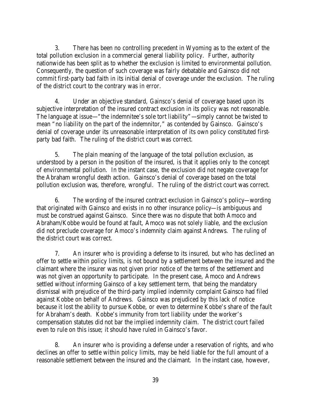3. There has been no controlling precedent in Wyoming as to the extent of the total pollution exclusion in a commercial general liability policy. Further, authority nationwide has been split as to whether the exclusion is limited to environmental pollution. Consequently, the question of such coverage was fairly debatable and Gainsco did not commit first-party bad faith in its initial denial of coverage under the exclusion. The ruling of the district court to the contrary was in error.

4. Under an objective standard, Gainsco's denial of coverage based upon its subjective interpretation of the insured contract exclusion in its policy was not reasonable. The language at issue—"the indemnitee's sole tort liability"—simply cannot be twisted to mean "no liability on the part of the indemnitor," as contended by Gainsco. Gainsco's denial of coverage under its unreasonable interpretation of its own policy constituted firstparty bad faith. The ruling of the district court was correct.

5. The plain meaning of the language of the total pollution exclusion, as understood by a person in the position of the insured, is that it applies only to the concept of environmental pollution. In the instant case, the exclusion did not negate coverage for the Abraham wrongful death action. Gainsco's denial of coverage based on the total pollution exclusion was, therefore, wrongful. The ruling of the district court was correct.

6. The wording of the insured contract exclusion in Gainsco's policy—wording that originated with Gainsco and exists in no other insurance policy—is ambiguous and must be construed against Gainsco. Since there was no dispute that both Amoco and Abraham/Kobbe would be found at fault, Amoco was not solely liable, and the exclusion did not preclude coverage for Amoco's indemnity claim against Andrews. The ruling of the district court was correct.

7. An insurer who is providing a defense to its insured, but who has declined an offer to settle within policy limits, is not bound by a settlement between the insured and the claimant where the insurer was not given prior notice of the terms of the settlement and was not given an opportunity to participate. In the present case, Amoco and Andrews settled without informing Gainsco of a key settlement term, that being the mandatory dismissal with prejudice of the third-party implied indemnity complaint Gainsco had filed against Kobbe on behalf of Andrews. Gainsco was prejudiced by this lack of notice because it lost the ability to pursue Kobbe, or even to determine Kobbe's share of the fault for Abraham's death. Kobbe's immunity from tort liability under the worker's compensation statutes did not bar the implied indemnity claim. The district court failed even to rule on this issue; it should have ruled in Gainsco's favor.

8. An insurer who is providing a defense under a reservation of rights, and who declines an offer to settle within policy limits, may be held liable for the full amount of a reasonable settlement between the insured and the claimant. In the instant case, however,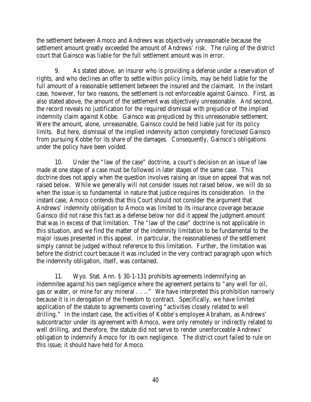the settlement between Amoco and Andrews was objectively unreasonable because the settlement amount greatly exceeded the amount of Andrews' risk. The ruling of the district court that Gainsco was liable for the full settlement amount was in error.

9. As stated above, an insurer who is providing a defense under a reservation of rights, and who declines an offer to settle within policy limits, may be held liable for the full amount of a reasonable settlement between the insured and the claimant. In the instant case, however, for two reasons, the settlement is not enforceable against Gainsco. First, as also stated above, the amount of the settlement was objectively unreasonable. And second, the record reveals no justification for the required dismissal with prejudice of the implied indemnity claim against Kobbe. Gainsco was prejudiced by this unreasonable settlement. Were the amount, alone, unreasonable, Gainsco could be held liable just for its policy limits. But here, dismissal of the implied indemnity action completely foreclosed Gainsco from pursuing Kobbe for its share of the damages. Consequently, Gainsco's obligations under the policy have been voided.

10. Under the "law of the case" doctrine, a court's decision on an issue of law made at one stage of a case must be followed in later stages of the same case. This doctrine does not apply when the question involves raising an issue on appeal that was not raised below. While we generally will not consider issues not raised below, we will do so when the issue is so fundamental in nature that justice requires its consideration. In the instant case, Amoco contends that this Court should not consider the argument that Andrews' indemnity obligation to Amoco was limited to its insurance coverage because Gainsco did not raise this fact as a defense below nor did it appeal the judgment amount that was in excess of that limitation. The "law of the case" doctrine is not applicable in this situation, and we find the matter of the indemnity limitation to be fundamental to the major issues presented in this appeal. In particular, the reasonableness of the settlement simply cannot be judged without reference to this limitation. Further, the limitation was before the district court because it was included in the very contract paragraph upon which the indemnity obligation, itself, was contained.

11. Wyo. Stat. Ann. § 30-1-131 prohibits agreements indemnifying an indemnitee against his own negligence where the agreement pertains to "any well for oil, gas or water, or mine for any mineral . . .." We have interpreted this prohibition narrowly because it is in derogation of the freedom to contract. Specifically, we have limited application of the statute to agreements covering "activities closely related to well drilling." In the instant case, the activities of Kobbe's employee Abraham, as Andrews' subcontractor under its agreement with Amoco, were only remotely or indirectly related to well drilling, and therefore, the statute did not serve to render unenforceable Andrews' obligation to indemnify Amoco for its own negligence. The district court failed to rule on this issue; it should have held for Amoco.